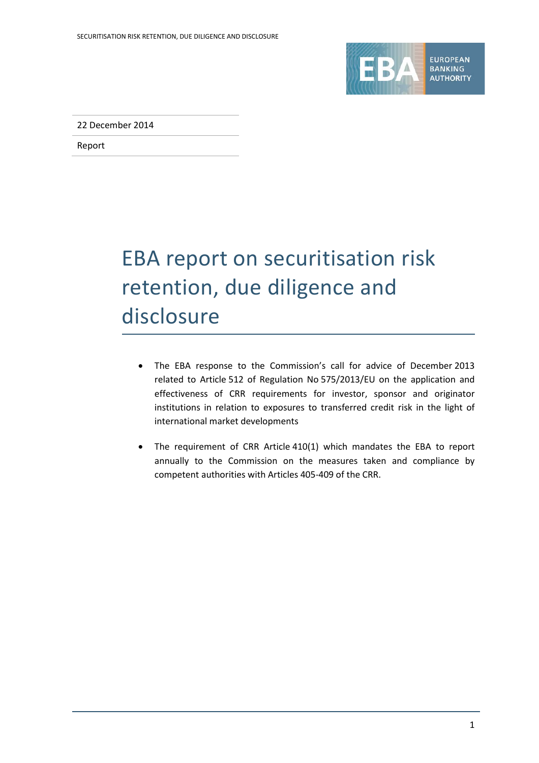

22 December 2014

Report

# EBA report on securitisation risk retention, due diligence and disclosure

- The EBA response to the Commission's call for advice of December 2013 related to Article 512 of Regulation No 575/2013/EU on the application and effectiveness of CRR requirements for investor, sponsor and originator institutions in relation to exposures to transferred credit risk in the light of international market developments
- The requirement of CRR Article 410(1) which mandates the EBA to report annually to the Commission on the measures taken and compliance by competent authorities with Articles 405-409 of the CRR.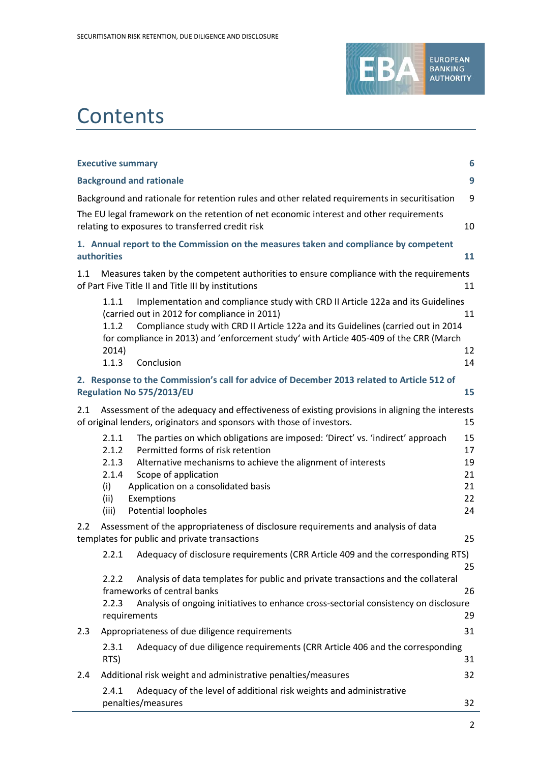

# **Contents**

| <b>Executive summary</b><br>6                                                                                                                                                                                                                                                                                                                                    |                                        |  |
|------------------------------------------------------------------------------------------------------------------------------------------------------------------------------------------------------------------------------------------------------------------------------------------------------------------------------------------------------------------|----------------------------------------|--|
| <b>Background and rationale</b>                                                                                                                                                                                                                                                                                                                                  | 9                                      |  |
| Background and rationale for retention rules and other related requirements in securitisation                                                                                                                                                                                                                                                                    | 9                                      |  |
| The EU legal framework on the retention of net economic interest and other requirements<br>relating to exposures to transferred credit risk                                                                                                                                                                                                                      | 10                                     |  |
| 1. Annual report to the Commission on the measures taken and compliance by competent<br>authorities                                                                                                                                                                                                                                                              | 11                                     |  |
| 1.1<br>Measures taken by the competent authorities to ensure compliance with the requirements<br>of Part Five Title II and Title III by institutions                                                                                                                                                                                                             | 11                                     |  |
| 1.1.1<br>Implementation and compliance study with CRD II Article 122a and its Guidelines<br>(carried out in 2012 for compliance in 2011)<br>Compliance study with CRD II Article 122a and its Guidelines (carried out in 2014<br>1.1.2<br>for compliance in 2013) and 'enforcement study' with Article 405-409 of the CRR (March<br>2014)<br>1.1.3<br>Conclusion | 11<br>12<br>14                         |  |
| 2. Response to the Commission's call for advice of December 2013 related to Article 512 of<br>Regulation No 575/2013/EU                                                                                                                                                                                                                                          | 15                                     |  |
| Assessment of the adequacy and effectiveness of existing provisions in aligning the interests<br>2.1<br>of original lenders, originators and sponsors with those of investors.                                                                                                                                                                                   | 15                                     |  |
| 2.1.1<br>The parties on which obligations are imposed: 'Direct' vs. 'indirect' approach<br>Permitted forms of risk retention<br>2.1.2<br>2.1.3<br>Alternative mechanisms to achieve the alignment of interests<br>2.1.4<br>Scope of application<br>(i)<br>Application on a consolidated basis<br>(ii)<br>Exemptions<br>Potential loopholes<br>(iii)              | 15<br>17<br>19<br>21<br>21<br>22<br>24 |  |
| 2.2<br>Assessment of the appropriateness of disclosure requirements and analysis of data<br>templates for public and private transactions                                                                                                                                                                                                                        | 25                                     |  |
| Adequacy of disclosure requirements (CRR Article 409 and the corresponding RTS)<br>2.2.1                                                                                                                                                                                                                                                                         | 25                                     |  |
| Analysis of data templates for public and private transactions and the collateral<br>2.2.2<br>frameworks of central banks<br>Analysis of ongoing initiatives to enhance cross-sectorial consistency on disclosure<br>2.2.3<br>requirements                                                                                                                       | 26<br>29                               |  |
| Appropriateness of due diligence requirements<br>2.3                                                                                                                                                                                                                                                                                                             | 31                                     |  |
| Adequacy of due diligence requirements (CRR Article 406 and the corresponding<br>2.3.1<br>RTS)                                                                                                                                                                                                                                                                   | 31                                     |  |
| Additional risk weight and administrative penalties/measures<br>2.4                                                                                                                                                                                                                                                                                              | 32                                     |  |
| Adequacy of the level of additional risk weights and administrative<br>2.4.1<br>penalties/measures                                                                                                                                                                                                                                                               | 32                                     |  |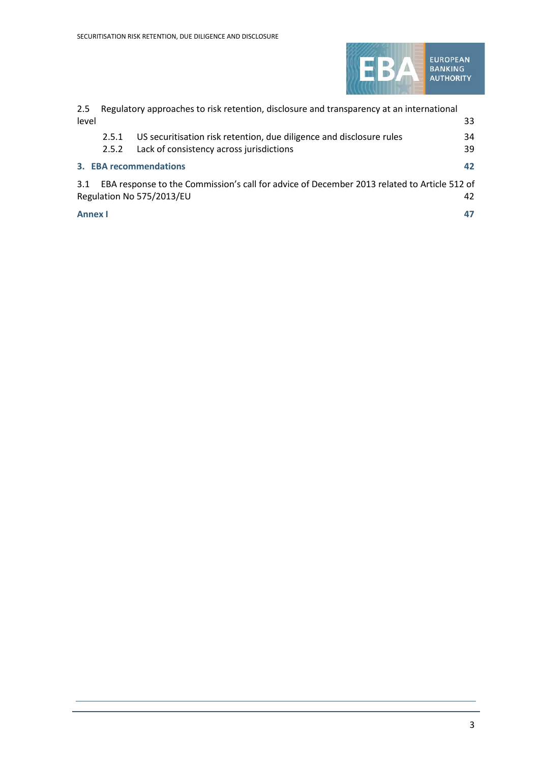

| 2.5            | Regulatory approaches to risk retention, disclosure and transparency at an international |                                                                                                                          |    |
|----------------|------------------------------------------------------------------------------------------|--------------------------------------------------------------------------------------------------------------------------|----|
| level          |                                                                                          |                                                                                                                          | 33 |
|                | 2.5.1                                                                                    | US securitisation risk retention, due diligence and disclosure rules                                                     | 34 |
|                | 2.5.2                                                                                    | Lack of consistency across jurisdictions                                                                                 | 39 |
|                |                                                                                          | 3. EBA recommendations                                                                                                   | 42 |
| 3.1            |                                                                                          | EBA response to the Commission's call for advice of December 2013 related to Article 512 of<br>Regulation No 575/2013/EU | 42 |
| <b>Annex I</b> |                                                                                          |                                                                                                                          | 47 |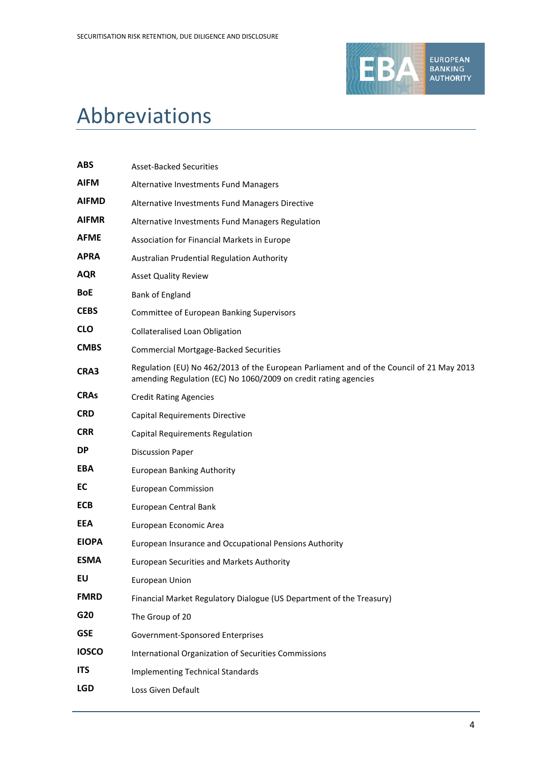

# Abbreviations

| <b>ABS</b>   | <b>Asset-Backed Securities</b>                                                                                                                              |
|--------------|-------------------------------------------------------------------------------------------------------------------------------------------------------------|
| <b>AIFM</b>  | Alternative Investments Fund Managers                                                                                                                       |
| <b>AIFMD</b> | Alternative Investments Fund Managers Directive                                                                                                             |
| <b>AIFMR</b> | Alternative Investments Fund Managers Regulation                                                                                                            |
| <b>AFME</b>  | Association for Financial Markets in Europe                                                                                                                 |
| <b>APRA</b>  | Australian Prudential Regulation Authority                                                                                                                  |
| <b>AQR</b>   | <b>Asset Quality Review</b>                                                                                                                                 |
| <b>BoE</b>   | Bank of England                                                                                                                                             |
| <b>CEBS</b>  | Committee of European Banking Supervisors                                                                                                                   |
| <b>CLO</b>   | <b>Collateralised Loan Obligation</b>                                                                                                                       |
| <b>CMBS</b>  | <b>Commercial Mortgage-Backed Securities</b>                                                                                                                |
| CRA3         | Regulation (EU) No 462/2013 of the European Parliament and of the Council of 21 May 2013<br>amending Regulation (EC) No 1060/2009 on credit rating agencies |
| <b>CRAs</b>  | <b>Credit Rating Agencies</b>                                                                                                                               |
| <b>CRD</b>   | <b>Capital Requirements Directive</b>                                                                                                                       |
| <b>CRR</b>   | <b>Capital Requirements Regulation</b>                                                                                                                      |
| <b>DP</b>    | <b>Discussion Paper</b>                                                                                                                                     |
| <b>EBA</b>   | <b>European Banking Authority</b>                                                                                                                           |
| EC           | <b>European Commission</b>                                                                                                                                  |
| <b>ECB</b>   | European Central Bank                                                                                                                                       |
| <b>EEA</b>   | European Economic Area                                                                                                                                      |
| <b>EIOPA</b> | European Insurance and Occupational Pensions Authority                                                                                                      |
| <b>ESMA</b>  | <b>European Securities and Markets Authority</b>                                                                                                            |
| EU           | European Union                                                                                                                                              |
| <b>FMRD</b>  | Financial Market Regulatory Dialogue (US Department of the Treasury)                                                                                        |
| G20          | The Group of 20                                                                                                                                             |
| <b>GSE</b>   | Government-Sponsored Enterprises                                                                                                                            |
| <b>IOSCO</b> | International Organization of Securities Commissions                                                                                                        |
| <b>ITS</b>   | <b>Implementing Technical Standards</b>                                                                                                                     |
| <b>LGD</b>   | Loss Given Default                                                                                                                                          |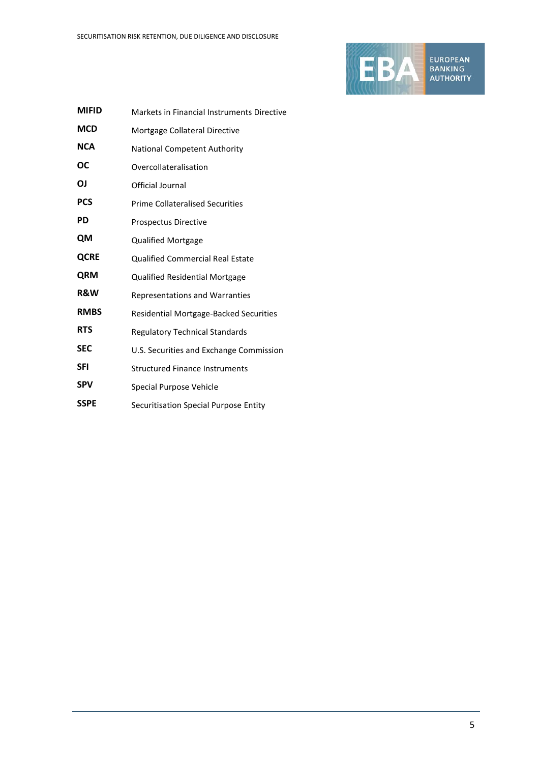

| <b>MIFID</b>   | Markets in Financial Instruments Directive |
|----------------|--------------------------------------------|
| <b>MCD</b>     | Mortgage Collateral Directive              |
| <b>NCA</b>     | <b>National Competent Authority</b>        |
| ОС             | Overcollateralisation                      |
| ΟJ             | Official Journal                           |
| <b>PCS</b>     | <b>Prime Collateralised Securities</b>     |
| PD             | Prospectus Directive                       |
| QM             | <b>Qualified Mortgage</b>                  |
| <b>QCRE</b>    | <b>Qualified Commercial Real Estate</b>    |
| <b>QRM</b>     | Qualified Residential Mortgage             |
| <b>R&amp;W</b> | <b>Representations and Warranties</b>      |
| <b>RMBS</b>    | Residential Mortgage-Backed Securities     |
| <b>RTS</b>     | <b>Regulatory Technical Standards</b>      |
| <b>SEC</b>     | U.S. Securities and Exchange Commission    |
| SFI            | <b>Structured Finance Instruments</b>      |
| <b>SPV</b>     | Special Purpose Vehicle                    |
| <b>SSPE</b>    | Securitisation Special Purpose Entity      |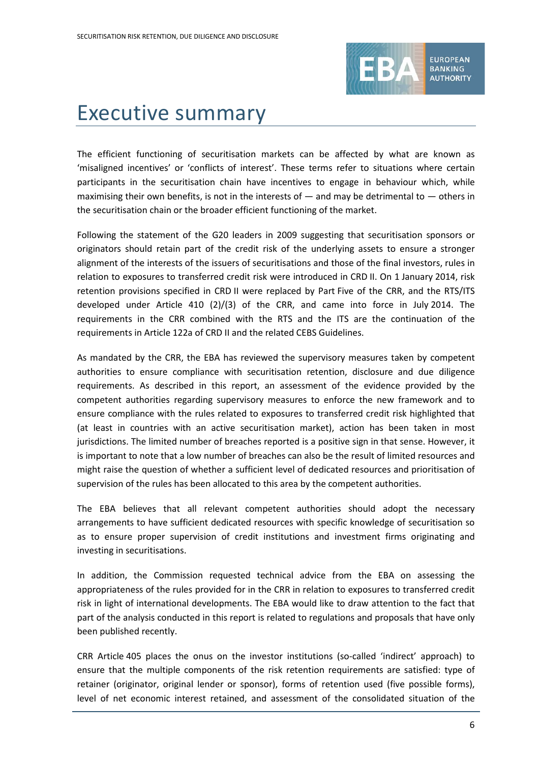

# Executive summary

The efficient functioning of securitisation markets can be affected by what are known as 'misaligned incentives' or 'conflicts of interest'. These terms refer to situations where certain participants in the securitisation chain have incentives to engage in behaviour which, while maximising their own benefits, is not in the interests of  $-$  and may be detrimental to  $-$  others in the securitisation chain or the broader efficient functioning of the market.

Following the statement of the G20 leaders in 2009 suggesting that securitisation sponsors or originators should retain part of the credit risk of the underlying assets to ensure a stronger alignment of the interests of the issuers of securitisations and those of the final investors, rules in relation to exposures to transferred credit risk were introduced in CRD II. On 1 January 2014, risk retention provisions specified in CRD II were replaced by Part Five of the CRR, and the RTS/ITS developed under Article 410 (2)/(3) of the CRR, and came into force in July 2014. The requirements in the CRR combined with the RTS and the ITS are the continuation of the requirements in Article 122a of CRD II and the related CEBS Guidelines.

As mandated by the CRR, the EBA has reviewed the supervisory measures taken by competent authorities to ensure compliance with securitisation retention, disclosure and due diligence requirements. As described in this report, an assessment of the evidence provided by the competent authorities regarding supervisory measures to enforce the new framework and to ensure compliance with the rules related to exposures to transferred credit risk highlighted that (at least in countries with an active securitisation market), action has been taken in most jurisdictions. The limited number of breaches reported is a positive sign in that sense. However, it is important to note that a low number of breaches can also be the result of limited resources and might raise the question of whether a sufficient level of dedicated resources and prioritisation of supervision of the rules has been allocated to this area by the competent authorities.

The EBA believes that all relevant competent authorities should adopt the necessary arrangements to have sufficient dedicated resources with specific knowledge of securitisation so as to ensure proper supervision of credit institutions and investment firms originating and investing in securitisations.

In addition, the Commission requested technical advice from the EBA on assessing the appropriateness of the rules provided for in the CRR in relation to exposures to transferred credit risk in light of international developments. The EBA would like to draw attention to the fact that part of the analysis conducted in this report is related to regulations and proposals that have only been published recently.

CRR Article 405 places the onus on the investor institutions (so-called 'indirect' approach) to ensure that the multiple components of the risk retention requirements are satisfied: type of retainer (originator, original lender or sponsor), forms of retention used (five possible forms), level of net economic interest retained, and assessment of the consolidated situation of the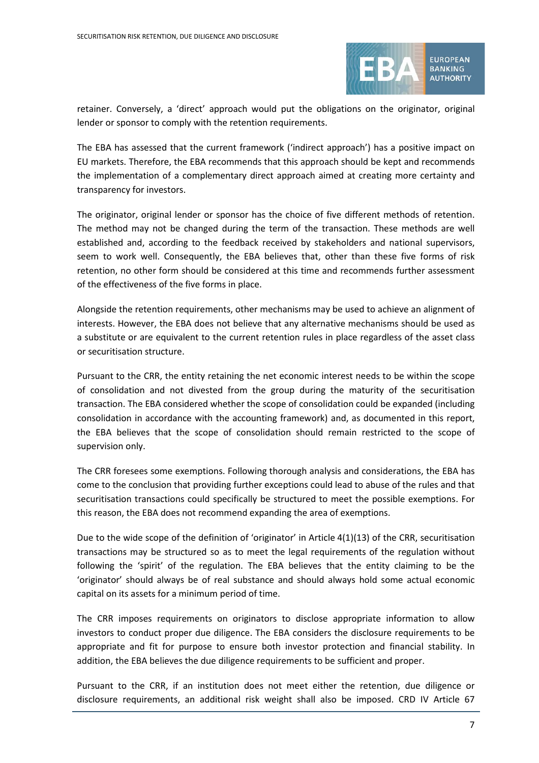

retainer. Conversely, a 'direct' approach would put the obligations on the originator, original lender or sponsor to comply with the retention requirements.

The EBA has assessed that the current framework ('indirect approach') has a positive impact on EU markets. Therefore, the EBA recommends that this approach should be kept and recommends the implementation of a complementary direct approach aimed at creating more certainty and transparency for investors.

The originator, original lender or sponsor has the choice of five different methods of retention. The method may not be changed during the term of the transaction. These methods are well established and, according to the feedback received by stakeholders and national supervisors, seem to work well. Consequently, the EBA believes that, other than these five forms of risk retention, no other form should be considered at this time and recommends further assessment of the effectiveness of the five forms in place.

Alongside the retention requirements, other mechanisms may be used to achieve an alignment of interests. However, the EBA does not believe that any alternative mechanisms should be used as a substitute or are equivalent to the current retention rules in place regardless of the asset class or securitisation structure.

Pursuant to the CRR, the entity retaining the net economic interest needs to be within the scope of consolidation and not divested from the group during the maturity of the securitisation transaction. The EBA considered whether the scope of consolidation could be expanded (including consolidation in accordance with the accounting framework) and, as documented in this report, the EBA believes that the scope of consolidation should remain restricted to the scope of supervision only.

The CRR foresees some exemptions. Following thorough analysis and considerations, the EBA has come to the conclusion that providing further exceptions could lead to abuse of the rules and that securitisation transactions could specifically be structured to meet the possible exemptions. For this reason, the EBA does not recommend expanding the area of exemptions.

Due to the wide scope of the definition of 'originator' in Article 4(1)(13) of the CRR, securitisation transactions may be structured so as to meet the legal requirements of the regulation without following the 'spirit' of the regulation. The EBA believes that the entity claiming to be the 'originator' should always be of real substance and should always hold some actual economic capital on its assets for a minimum period of time.

The CRR imposes requirements on originators to disclose appropriate information to allow investors to conduct proper due diligence. The EBA considers the disclosure requirements to be appropriate and fit for purpose to ensure both investor protection and financial stability. In addition, the EBA believes the due diligence requirements to be sufficient and proper.

Pursuant to the CRR, if an institution does not meet either the retention, due diligence or disclosure requirements, an additional risk weight shall also be imposed. CRD IV Article 67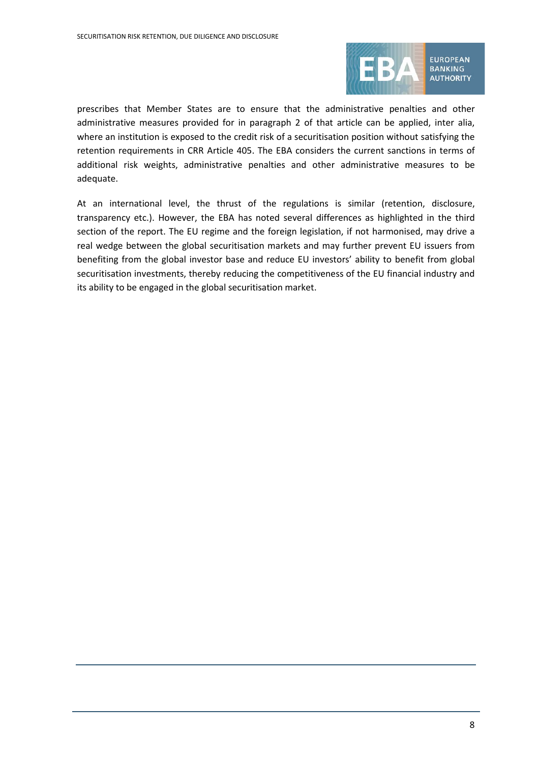

prescribes that Member States are to ensure that the administrative penalties and other administrative measures provided for in paragraph 2 of that article can be applied, inter alia, where an institution is exposed to the credit risk of a securitisation position without satisfying the retention requirements in CRR Article 405. The EBA considers the current sanctions in terms of additional risk weights, administrative penalties and other administrative measures to be adequate.

At an international level, the thrust of the regulations is similar (retention, disclosure, transparency etc.). However, the EBA has noted several differences as highlighted in the third section of the report. The EU regime and the foreign legislation, if not harmonised, may drive a real wedge between the global securitisation markets and may further prevent EU issuers from benefiting from the global investor base and reduce EU investors' ability to benefit from global securitisation investments, thereby reducing the competitiveness of the EU financial industry and its ability to be engaged in the global securitisation market.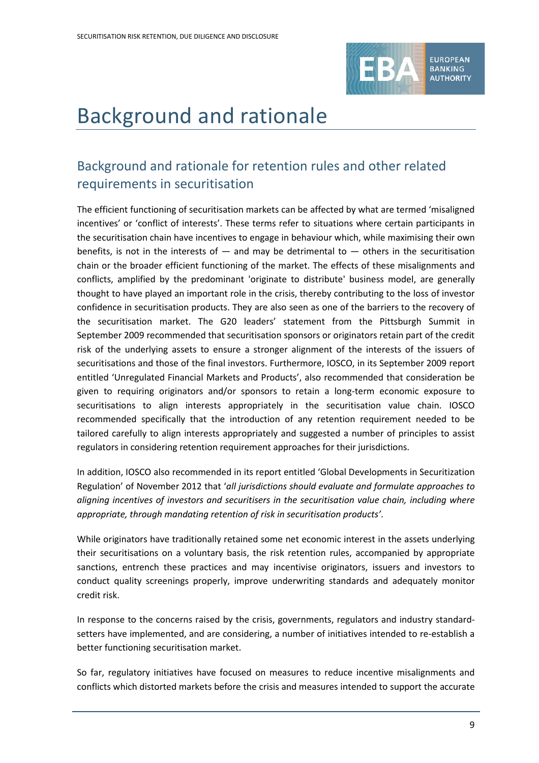

# Background and rationale

# Background and rationale for retention rules and other related requirements in securitisation

The efficient functioning of securitisation markets can be affected by what are termed 'misaligned incentives' or 'conflict of interests'. These terms refer to situations where certain participants in the securitisation chain have incentives to engage in behaviour which, while maximising their own benefits, is not in the interests of  $-$  and may be detrimental to  $-$  others in the securitisation chain or the broader efficient functioning of the market. The effects of these misalignments and conflicts, amplified by the predominant 'originate to distribute' business model, are generally thought to have played an important role in the crisis, thereby contributing to the loss of investor confidence in securitisation products. They are also seen as one of the barriers to the recovery of the securitisation market. The G20 leaders' statement from the Pittsburgh Summit in September 2009 recommended that securitisation sponsors or originators retain part of the credit risk of the underlying assets to ensure a stronger alignment of the interests of the issuers of securitisations and those of the final investors. Furthermore, IOSCO, in its September 2009 report entitled 'Unregulated Financial Markets and Products', also recommended that consideration be given to requiring originators and/or sponsors to retain a long-term economic exposure to securitisations to align interests appropriately in the securitisation value chain. IOSCO recommended specifically that the introduction of any retention requirement needed to be tailored carefully to align interests appropriately and suggested a number of principles to assist regulators in considering retention requirement approaches for their jurisdictions.

In addition, IOSCO also recommended in its report entitled 'Global Developments in Securitization Regulation' of November 2012 that '*all jurisdictions should evaluate and formulate approaches to aligning incentives of investors and securitisers in the securitisation value chain, including where appropriate, through mandating retention of risk in securitisation products'*.

While originators have traditionally retained some net economic interest in the assets underlying their securitisations on a voluntary basis, the risk retention rules, accompanied by appropriate sanctions, entrench these practices and may incentivise originators, issuers and investors to conduct quality screenings properly, improve underwriting standards and adequately monitor credit risk.

In response to the concerns raised by the crisis, governments, regulators and industry standardsetters have implemented, and are considering, a number of initiatives intended to re-establish a better functioning securitisation market.

So far, regulatory initiatives have focused on measures to reduce incentive misalignments and conflicts which distorted markets before the crisis and measures intended to support the accurate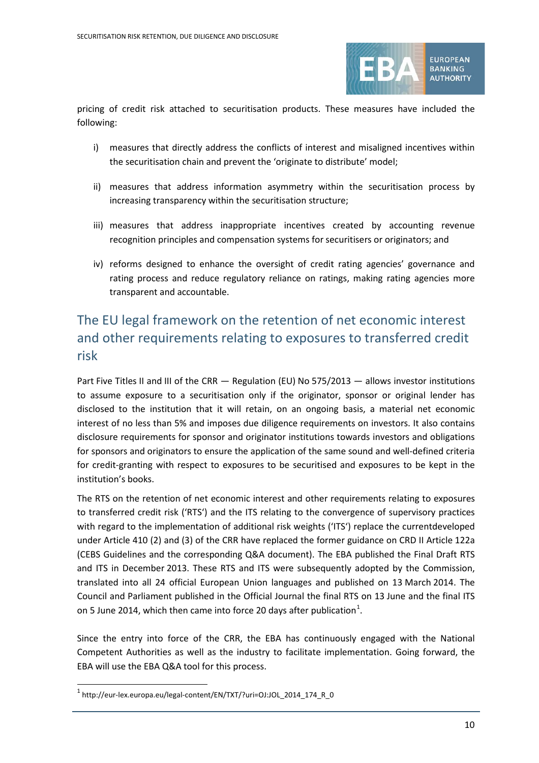

pricing of credit risk attached to securitisation products. These measures have included the following:

- i) measures that directly address the conflicts of interest and misaligned incentives within the securitisation chain and prevent the 'originate to distribute' model;
- ii) measures that address information asymmetry within the securitisation process by increasing transparency within the securitisation structure;
- iii) measures that address inappropriate incentives created by accounting revenue recognition principles and compensation systems for securitisers or originators; and
- iv) reforms designed to enhance the oversight of credit rating agencies' governance and rating process and reduce regulatory reliance on ratings, making rating agencies more transparent and accountable.

# The EU legal framework on the retention of net economic interest and other requirements relating to exposures to transferred credit risk

Part Five Titles II and III of the CRR — Regulation (EU) No 575/2013 — allows investor institutions to assume exposure to a securitisation only if the originator, sponsor or original lender has disclosed to the institution that it will retain, on an ongoing basis, a material net economic interest of no less than 5% and imposes due diligence requirements on investors. It also contains disclosure requirements for sponsor and originator institutions towards investors and obligations for sponsors and originators to ensure the application of the same sound and well-defined criteria for credit-granting with respect to exposures to be securitised and exposures to be kept in the institution's books.

The RTS on the retention of net economic interest and other requirements relating to exposures to transferred credit risk ('RTS') and the ITS relating to the convergence of supervisory practices with regard to the implementation of additional risk weights ('ITS') replace the currentdeveloped under Article 410 (2) and (3) of the CRR have replaced the former guidance on CRD II Article 122a (CEBS Guidelines and the corresponding Q&A document). The EBA published the Final Draft RTS and ITS in December 2013. These RTS and ITS were subsequently adopted by the Commission, translated into all 24 official European Union languages and published on 13 March 2014. The Council and Parliament published in the Official Journal the final RTS on 13 June and the final ITS on 5 June 20[1](#page-9-0)4, which then came into force 20 days after publication $^1$ .

Since the entry into force of the CRR, the EBA has continuously engaged with the National Competent Authorities as well as the industry to facilitate implementation. Going forward, the EBA will use the EBA Q&A tool for this process.

<span id="page-9-0"></span><sup>1</sup> http://eur-lex.europa.eu/legal-content/EN/TXT/?uri=OJ:JOL\_2014\_174\_R\_0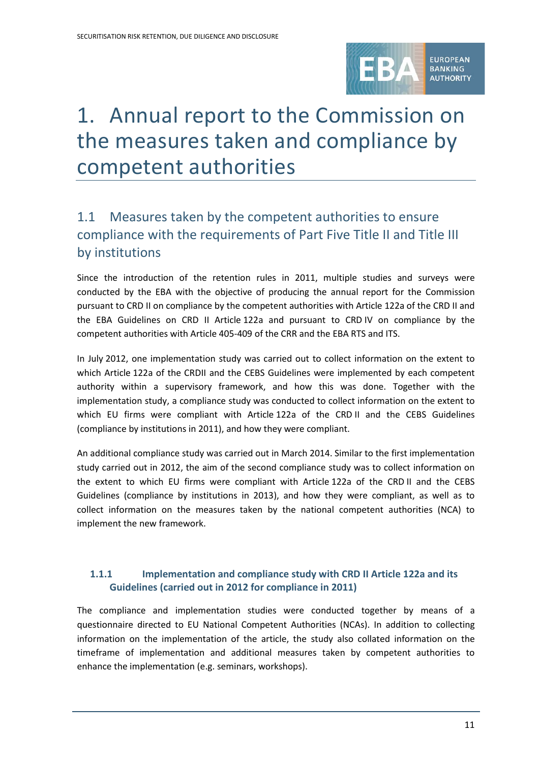

# 1. Annual report to the Commission on the measures taken and compliance by competent authorities

# 1.1 Measures taken by the competent authorities to ensure compliance with the requirements of Part Five Title II and Title III by institutions

Since the introduction of the retention rules in 2011, multiple studies and surveys were conducted by the EBA with the objective of producing the annual report for the Commission pursuant to CRD II on compliance by the competent authorities with Article 122a of the CRD II and the EBA Guidelines on CRD II Article 122a and pursuant to CRD IV on compliance by the competent authorities with Article 405-409 of the CRR and the EBA RTS and ITS.

In July 2012, one implementation study was carried out to collect information on the extent to which Article 122a of the CRDII and the CEBS Guidelines were implemented by each competent authority within a supervisory framework, and how this was done. Together with the implementation study, a compliance study was conducted to collect information on the extent to which EU firms were compliant with Article 122a of the CRD II and the CEBS Guidelines (compliance by institutions in 2011), and how they were compliant.

An additional compliance study was carried out in March 2014. Similar to the first implementation study carried out in 2012, the aim of the second compliance study was to collect information on the extent to which EU firms were compliant with Article 122a of the CRD II and the CEBS Guidelines (compliance by institutions in 2013), and how they were compliant, as well as to collect information on the measures taken by the national competent authorities (NCA) to implement the new framework.

## **1.1.1 Implementation and compliance study with CRD II Article 122a and its Guidelines (carried out in 2012 for compliance in 2011)**

The compliance and implementation studies were conducted together by means of a questionnaire directed to EU National Competent Authorities (NCAs). In addition to collecting information on the implementation of the article, the study also collated information on the timeframe of implementation and additional measures taken by competent authorities to enhance the implementation (e.g. seminars, workshops).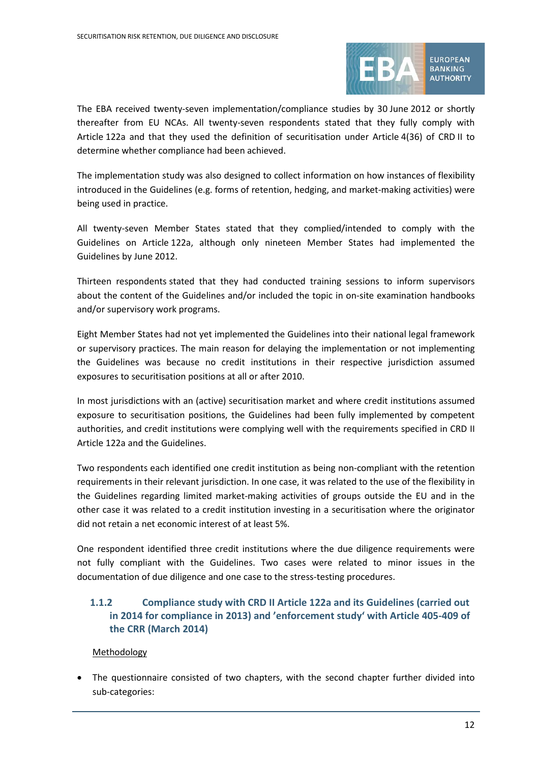

The EBA received twenty-seven implementation/compliance studies by 30 June 2012 or shortly thereafter from EU NCAs. All twenty-seven respondents stated that they fully comply with Article 122a and that they used the definition of securitisation under Article 4(36) of CRD II to determine whether compliance had been achieved.

The implementation study was also designed to collect information on how instances of flexibility introduced in the Guidelines (e.g. forms of retention, hedging, and market-making activities) were being used in practice.

All twenty-seven Member States stated that they complied/intended to comply with the Guidelines on Article 122a, although only nineteen Member States had implemented the Guidelines by June 2012.

Thirteen respondents stated that they had conducted training sessions to inform supervisors about the content of the Guidelines and/or included the topic in on-site examination handbooks and/or supervisory work programs.

Eight Member States had not yet implemented the Guidelines into their national legal framework or supervisory practices. The main reason for delaying the implementation or not implementing the Guidelines was because no credit institutions in their respective jurisdiction assumed exposures to securitisation positions at all or after 2010.

In most jurisdictions with an (active) securitisation market and where credit institutions assumed exposure to securitisation positions, the Guidelines had been fully implemented by competent authorities, and credit institutions were complying well with the requirements specified in CRD II Article 122a and the Guidelines.

Two respondents each identified one credit institution as being non-compliant with the retention requirements in their relevant jurisdiction. In one case, it was related to the use of the flexibility in the Guidelines regarding limited market-making activities of groups outside the EU and in the other case it was related to a credit institution investing in a securitisation where the originator did not retain a net economic interest of at least 5%.

One respondent identified three credit institutions where the due diligence requirements were not fully compliant with the Guidelines. Two cases were related to minor issues in the documentation of due diligence and one case to the stress-testing procedures.

## **1.1.2 Compliance study with CRD II Article 122a and its Guidelines (carried out in 2014 for compliance in 2013) and 'enforcement study' with Article 405-409 of the CRR (March 2014)**

#### Methodology

• The questionnaire consisted of two chapters, with the second chapter further divided into sub-categories: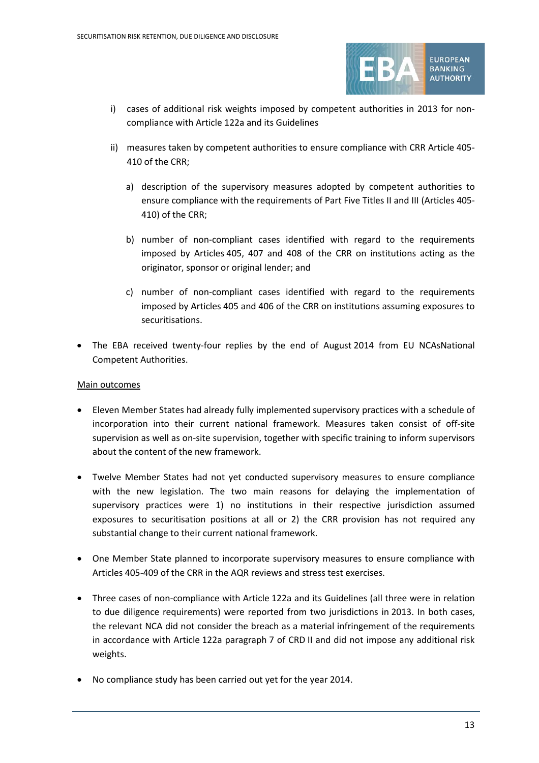

- i) cases of additional risk weights imposed by competent authorities in 2013 for noncompliance with Article 122a and its Guidelines
- ii) measures taken by competent authorities to ensure compliance with CRR Article 405- 410 of the CRR;
	- a) description of the supervisory measures adopted by competent authorities to ensure compliance with the requirements of Part Five Titles II and III (Articles 405- 410) of the CRR;
	- b) number of non-compliant cases identified with regard to the requirements imposed by Articles 405, 407 and 408 of the CRR on institutions acting as the originator, sponsor or original lender; and
	- c) number of non-compliant cases identified with regard to the requirements imposed by Articles 405 and 406 of the CRR on institutions assuming exposures to securitisations.
- The EBA received twenty-four replies by the end of August 2014 from EU NCAsNational Competent Authorities.

#### Main outcomes

- Eleven Member States had already fully implemented supervisory practices with a schedule of incorporation into their current national framework. Measures taken consist of off-site supervision as well as on-site supervision, together with specific training to inform supervisors about the content of the new framework.
- Twelve Member States had not yet conducted supervisory measures to ensure compliance with the new legislation. The two main reasons for delaying the implementation of supervisory practices were 1) no institutions in their respective jurisdiction assumed exposures to securitisation positions at all or 2) the CRR provision has not required any substantial change to their current national framework.
- One Member State planned to incorporate supervisory measures to ensure compliance with Articles 405-409 of the CRR in the AQR reviews and stress test exercises.
- Three cases of non-compliance with Article 122a and its Guidelines (all three were in relation to due diligence requirements) were reported from two jurisdictions in 2013. In both cases, the relevant NCA did not consider the breach as a material infringement of the requirements in accordance with Article 122a paragraph 7 of CRD II and did not impose any additional risk weights.
- No compliance study has been carried out yet for the year 2014.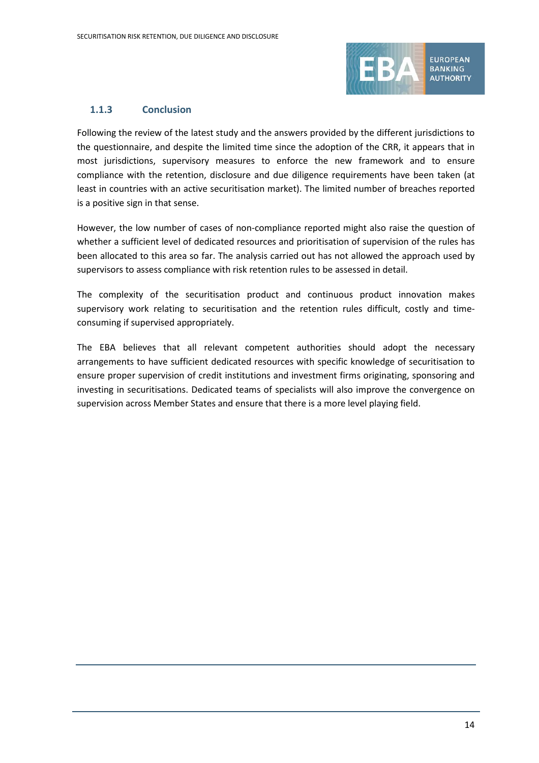

#### **1.1.3 Conclusion**

Following the review of the latest study and the answers provided by the different jurisdictions to the questionnaire, and despite the limited time since the adoption of the CRR, it appears that in most jurisdictions, supervisory measures to enforce the new framework and to ensure compliance with the retention, disclosure and due diligence requirements have been taken (at least in countries with an active securitisation market). The limited number of breaches reported is a positive sign in that sense.

However, the low number of cases of non-compliance reported might also raise the question of whether a sufficient level of dedicated resources and prioritisation of supervision of the rules has been allocated to this area so far. The analysis carried out has not allowed the approach used by supervisors to assess compliance with risk retention rules to be assessed in detail.

The complexity of the securitisation product and continuous product innovation makes supervisory work relating to securitisation and the retention rules difficult, costly and timeconsuming if supervised appropriately.

The EBA believes that all relevant competent authorities should adopt the necessary arrangements to have sufficient dedicated resources with specific knowledge of securitisation to ensure proper supervision of credit institutions and investment firms originating, sponsoring and investing in securitisations. Dedicated teams of specialists will also improve the convergence on supervision across Member States and ensure that there is a more level playing field.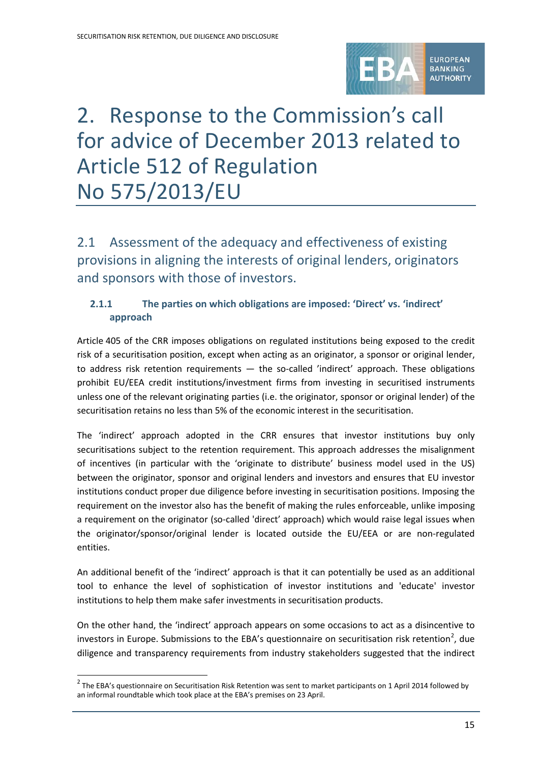

# 2. Response to the Commission's call for advice of December 2013 related to Article 512 of Regulation No 575/2013/EU

2.1 Assessment of the adequacy and effectiveness of existing provisions in aligning the interests of original lenders, originators and sponsors with those of investors.

## **2.1.1 The parties on which obligations are imposed: 'Direct' vs. 'indirect' approach**

Article 405 of the CRR imposes obligations on regulated institutions being exposed to the credit risk of a securitisation position, except when acting as an originator, a sponsor or original lender, to address risk retention requirements — the so-called 'indirect' approach. These obligations prohibit EU/EEA credit institutions/investment firms from investing in securitised instruments unless one of the relevant originating parties (i.e. the originator, sponsor or original lender) of the securitisation retains no less than 5% of the economic interest in the securitisation.

The 'indirect' approach adopted in the CRR ensures that investor institutions buy only securitisations subject to the retention requirement. This approach addresses the misalignment of incentives (in particular with the 'originate to distribute' business model used in the US) between the originator, sponsor and original lenders and investors and ensures that EU investor institutions conduct proper due diligence before investing in securitisation positions. Imposing the requirement on the investor also has the benefit of making the rules enforceable, unlike imposing a requirement on the originator (so-called 'direct' approach) which would raise legal issues when the originator/sponsor/original lender is located outside the EU/EEA or are non-regulated entities.

An additional benefit of the 'indirect' approach is that it can potentially be used as an additional tool to enhance the level of sophistication of investor institutions and 'educate' investor institutions to help them make safer investments in securitisation products.

On the other hand, the 'indirect' approach appears on some occasions to act as a disincentive to investors in Europe. Submissions to the EBA's questionnaire on securitisation risk retention<sup>[2](#page-14-0)</sup>, due diligence and transparency requirements from industry stakeholders suggested that the indirect

<span id="page-14-0"></span> $2$  The EBA's questionnaire on Securitisation Risk Retention was sent to market participants on 1 April 2014 followed by an informal roundtable which took place at the EBA's premises on 23 April.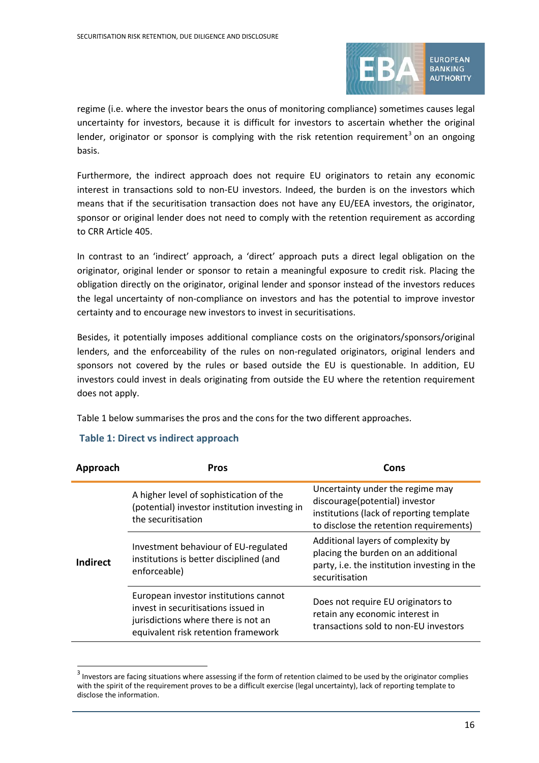

regime (i.e. where the investor bears the onus of monitoring compliance) sometimes causes legal uncertainty for investors, because it is difficult for investors to ascertain whether the original lender, originator or sponsor is complying with the risk retention requirement<sup>[3](#page-15-0)</sup> on an ongoing basis.

Furthermore, the indirect approach does not require EU originators to retain any economic interest in transactions sold to non-EU investors. Indeed, the burden is on the investors which means that if the securitisation transaction does not have any EU/EEA investors, the originator, sponsor or original lender does not need to comply with the retention requirement as according to CRR Article 405.

In contrast to an 'indirect' approach, a 'direct' approach puts a direct legal obligation on the originator, original lender or sponsor to retain a meaningful exposure to credit risk. Placing the obligation directly on the originator, original lender and sponsor instead of the investors reduces the legal uncertainty of non-compliance on investors and has the potential to improve investor certainty and to encourage new investors to invest in securitisations.

Besides, it potentially imposes additional compliance costs on the originators/sponsors/original lenders, and the enforceability of the rules on non-regulated originators, original lenders and sponsors not covered by the rules or based outside the EU is questionable. In addition, EU investors could invest in deals originating from outside the EU where the retention requirement does not apply.

Table 1 below summarises the pros and the cons for the two different approaches.

| Approach        | Pros                                                                                                                                                       | Cons                                                                                                                                                      |
|-----------------|------------------------------------------------------------------------------------------------------------------------------------------------------------|-----------------------------------------------------------------------------------------------------------------------------------------------------------|
|                 | A higher level of sophistication of the<br>(potential) investor institution investing in<br>the securitisation                                             | Uncertainty under the regime may<br>discourage(potential) investor<br>institutions (lack of reporting template<br>to disclose the retention requirements) |
| <b>Indirect</b> | Investment behaviour of EU-regulated<br>institutions is better disciplined (and<br>enforceable)                                                            | Additional layers of complexity by<br>placing the burden on an additional<br>party, i.e. the institution investing in the<br>securitisation               |
|                 | European investor institutions cannot<br>invest in securitisations issued in<br>jurisdictions where there is not an<br>equivalent risk retention framework | Does not require EU originators to<br>retain any economic interest in<br>transactions sold to non-EU investors                                            |

### **Table 1: Direct vs indirect approach**

<span id="page-15-0"></span> $3$  Investors are facing situations where assessing if the form of retention claimed to be used by the originator complies with the spirit of the requirement proves to be a difficult exercise (legal uncertainty), lack of reporting template to disclose the information.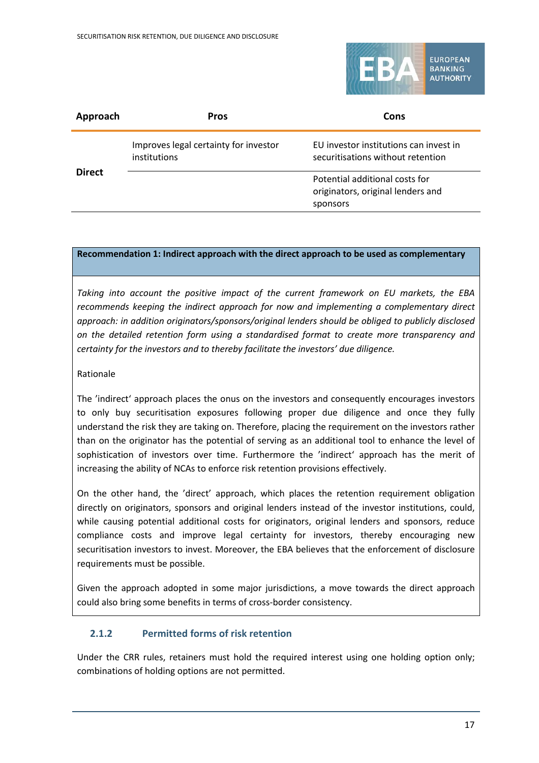

| Approach      | <b>Pros</b>                                           | Cons                                                                            |
|---------------|-------------------------------------------------------|---------------------------------------------------------------------------------|
|               | Improves legal certainty for investor<br>institutions | EU investor institutions can invest in<br>securitisations without retention     |
| <b>Direct</b> |                                                       | Potential additional costs for<br>originators, original lenders and<br>sponsors |

#### **Recommendation 1: Indirect approach with the direct approach to be used as complementary**

*Taking into account the positive impact of the current framework on EU markets, the EBA recommends keeping the indirect approach for now and implementing a complementary direct approach: in addition originators/sponsors/original lenders should be obliged to publicly disclosed on the detailed retention form using a standardised format to create more transparency and certainty for the investors and to thereby facilitate the investors' due diligence.*

#### Rationale

The 'indirect' approach places the onus on the investors and consequently encourages investors to only buy securitisation exposures following proper due diligence and once they fully understand the risk they are taking on. Therefore, placing the requirement on the investors rather than on the originator has the potential of serving as an additional tool to enhance the level of sophistication of investors over time. Furthermore the 'indirect' approach has the merit of increasing the ability of NCAs to enforce risk retention provisions effectively.

On the other hand, the 'direct' approach, which places the retention requirement obligation directly on originators, sponsors and original lenders instead of the investor institutions, could, while causing potential additional costs for originators, original lenders and sponsors, reduce compliance costs and improve legal certainty for investors, thereby encouraging new securitisation investors to invest. Moreover, the EBA believes that the enforcement of disclosure requirements must be possible.

Given the approach adopted in some major jurisdictions, a move towards the direct approach could also bring some benefits in terms of cross-border consistency.

#### **2.1.2 Permitted forms of risk retention**

Under the CRR rules, retainers must hold the required interest using one holding option only; combinations of holding options are not permitted.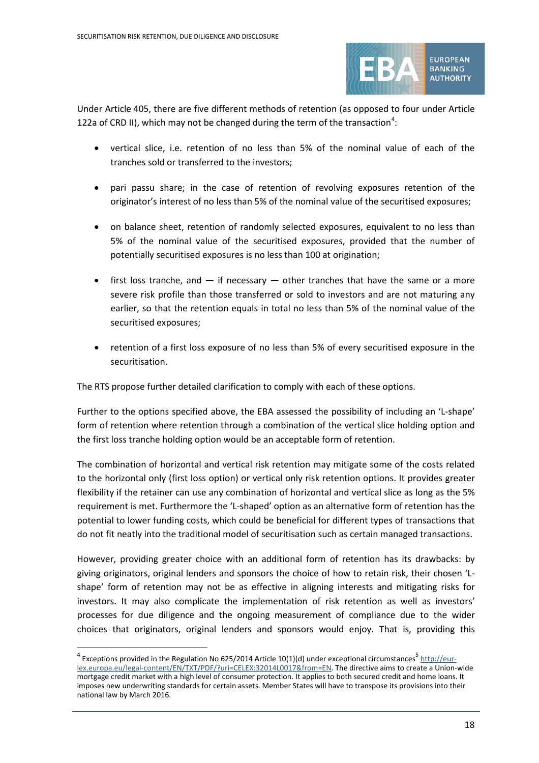

Under Article 405, there are five different methods of retention (as opposed to four under Article 122a of CRD II), which may not be changed during the term of the transaction<sup>[4](#page-17-0)</sup>:

- vertical slice, i.e. retention of no less than 5% of the nominal value of each of the tranches sold or transferred to the investors;
- pari passu share; in the case of retention of revolving exposures retention of the originator's interest of no less than 5% of the nominal value of the securitised exposures;
- on balance sheet, retention of randomly selected exposures, equivalent to no less than 5% of the nominal value of the securitised exposures, provided that the number of potentially securitised exposures is no less than 100 at origination;
- first loss tranche, and  $-$  if necessary  $-$  other tranches that have the same or a more severe risk profile than those transferred or sold to investors and are not maturing any earlier, so that the retention equals in total no less than 5% of the nominal value of the securitised exposures;
- retention of a first loss exposure of no less than 5% of every securitised exposure in the securitisation.

The RTS propose further detailed clarification to comply with each of these options.

Further to the options specified above, the EBA assessed the possibility of including an 'L-shape' form of retention where retention through a combination of the vertical slice holding option and the first loss tranche holding option would be an acceptable form of retention.

The combination of horizontal and vertical risk retention may mitigate some of the costs related to the horizontal only (first loss option) or vertical only risk retention options. It provides greater flexibility if the retainer can use any combination of horizontal and vertical slice as long as the 5% requirement is met. Furthermore the 'L-shaped' option as an alternative form of retention has the potential to lower funding costs, which could be beneficial for different types of transactions that do not fit neatly into the traditional model of securitisation such as certain managed transactions.

However, providing greater choice with an additional form of retention has its drawbacks: by giving originators, original lenders and sponsors the choice of how to retain risk, their chosen 'Lshape' form of retention may not be as effective in aligning interests and mitigating risks for investors. It may also complicate the implementation of risk retention as well as investors' processes for due diligence and the ongoing measurement of compliance due to the wider choices that originators, original lenders and sponsors would enjoy. That is, providing this

<span id="page-17-0"></span> $4$  Exceptions provided in the Regulation No 625/2014 Article 10(1)(d) under exceptional circumstances<sup>5</sup> [http://eur](http://eur-lex.europa.eu/legal-content/EN/TXT/PDF/?uri=CELEX:32014L0017&from=EN)[lex.europa.eu/legal-content/EN/TXT/PDF/?uri=CELEX:32014L0017&from=EN.](http://eur-lex.europa.eu/legal-content/EN/TXT/PDF/?uri=CELEX:32014L0017&from=EN) The directive aims to create a Union-wide mortgage credit market with a high level of consumer protection. It applies to both secured credit and home loans. It imposes new underwriting standards for certain assets. Member States will have to transpose its provisions into their national law by March 2016.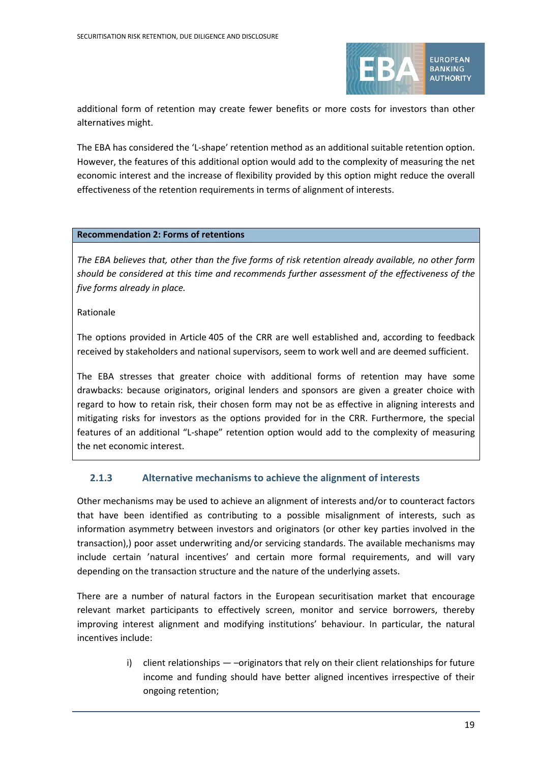

additional form of retention may create fewer benefits or more costs for investors than other alternatives might.

The EBA has considered the 'L-shape' retention method as an additional suitable retention option. However, the features of this additional option would add to the complexity of measuring the net economic interest and the increase of flexibility provided by this option might reduce the overall effectiveness of the retention requirements in terms of alignment of interests.

#### **Recommendation 2: Forms of retentions**

*The EBA believes that, other than the five forms of risk retention already available, no other form should be considered at this time and recommends further assessment of the effectiveness of the five forms already in place.*

#### Rationale

The options provided in Article 405 of the CRR are well established and, according to feedback received by stakeholders and national supervisors, seem to work well and are deemed sufficient.

The EBA stresses that greater choice with additional forms of retention may have some drawbacks: because originators, original lenders and sponsors are given a greater choice with regard to how to retain risk, their chosen form may not be as effective in aligning interests and mitigating risks for investors as the options provided for in the CRR. Furthermore, the special features of an additional "L-shape" retention option would add to the complexity of measuring the net economic interest.

#### **2.1.3 Alternative mechanisms to achieve the alignment of interests**

Other mechanisms may be used to achieve an alignment of interests and/or to counteract factors that have been identified as contributing to a possible misalignment of interests, such as information asymmetry between investors and originators (or other key parties involved in the transaction),) poor asset underwriting and/or servicing standards. The available mechanisms may include certain 'natural incentives' and certain more formal requirements, and will vary depending on the transaction structure and the nature of the underlying assets.

There are a number of natural factors in the European securitisation market that encourage relevant market participants to effectively screen, monitor and service borrowers, thereby improving interest alignment and modifying institutions' behaviour. In particular, the natural incentives include:

> i) client relationships — –originators that rely on their client relationships for future income and funding should have better aligned incentives irrespective of their ongoing retention;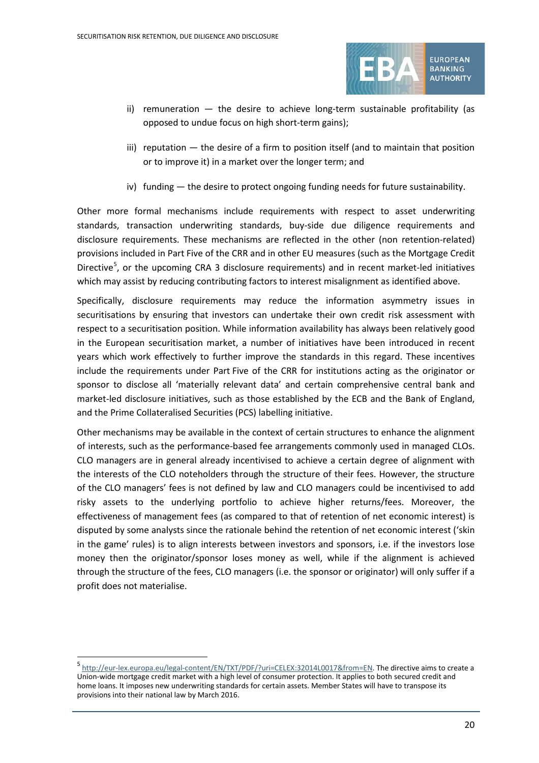

- ii) remuneration the desire to achieve long-term sustainable profitability (as opposed to undue focus on high short-term gains);
- iii) reputation the desire of a firm to position itself (and to maintain that position or to improve it) in a market over the longer term; and
- iv) funding the desire to protect ongoing funding needs for future sustainability.

Other more formal mechanisms include requirements with respect to asset underwriting standards, transaction underwriting standards, buy-side due diligence requirements and disclosure requirements. These mechanisms are reflected in the other (non retention-related) provisions included in Part Five of the CRR and in other EU measures (such as the Mortgage Credit Directive<sup>[5](#page-19-0)</sup>, or the upcoming CRA 3 disclosure requirements) and in recent market-led initiatives which may assist by reducing contributing factors to interest misalignment as identified above.

Specifically, disclosure requirements may reduce the information asymmetry issues in securitisations by ensuring that investors can undertake their own credit risk assessment with respect to a securitisation position. While information availability has always been relatively good in the European securitisation market, a number of initiatives have been introduced in recent years which work effectively to further improve the standards in this regard. These incentives include the requirements under Part Five of the CRR for institutions acting as the originator or sponsor to disclose all 'materially relevant data' and certain comprehensive central bank and market-led disclosure initiatives, such as those established by the ECB and the Bank of England, and the Prime Collateralised Securities (PCS) labelling initiative.

Other mechanisms may be available in the context of certain structures to enhance the alignment of interests, such as the performance-based fee arrangements commonly used in managed CLOs. CLO managers are in general already incentivised to achieve a certain degree of alignment with the interests of the CLO noteholders through the structure of their fees. However, the structure of the CLO managers' fees is not defined by law and CLO managers could be incentivised to add risky assets to the underlying portfolio to achieve higher returns/fees. Moreover, the effectiveness of management fees (as compared to that of retention of net economic interest) is disputed by some analysts since the rationale behind the retention of net economic interest ('skin in the game' rules) is to align interests between investors and sponsors, i.e. if the investors lose money then the originator/sponsor loses money as well, while if the alignment is achieved through the structure of the fees, CLO managers (i.e. the sponsor or originator) will only suffer if a profit does not materialise.

<span id="page-19-1"></span><span id="page-19-0"></span><sup>5</sup> [http://eur-lex.europa.eu/legal-content/EN/TXT/PDF/?uri=CELEX:32014L0017&from=EN.](http://eur-lex.europa.eu/legal-content/EN/TXT/PDF/?uri=CELEX:32014L0017&from=EN) The directive aims to create a Union-wide mortgage credit market with a high level of consumer protection. It applies to both secured credit and home loans. It imposes new underwriting standards for certain assets. Member States will have to transpose its provisions into their national law by March 2016.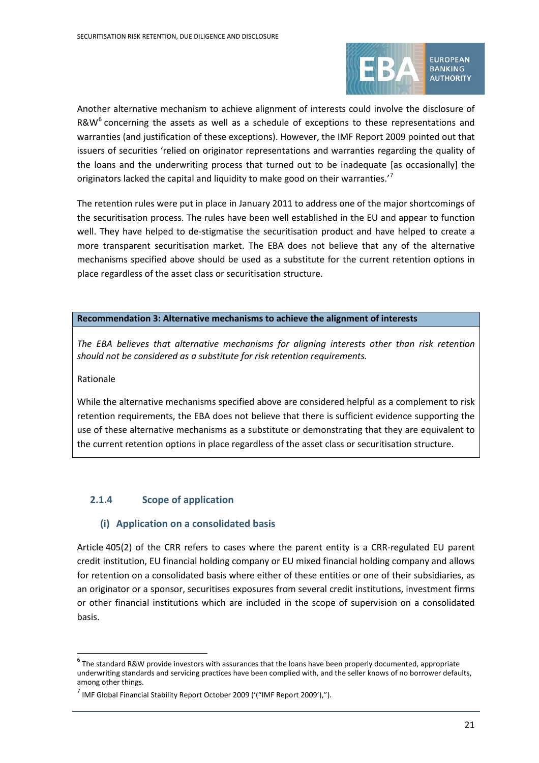

Another alternative mechanism to achieve alignment of interests could involve the disclosure of R&W $^6$  $^6$  concerning the assets as well as a schedule of exceptions to these representations and warranties (and justification of these exceptions). However, the IMF Report 2009 pointed out that issuers of securities 'relied on originator representations and warranties regarding the quality of the loans and the underwriting process that turned out to be inadequate [as occasionally] the originators lacked the capital and liquidity to make good on their warranties.''

The retention rules were put in place in January 2011 to address one of the major shortcomings of the securitisation process. The rules have been well established in the EU and appear to function well. They have helped to de-stigmatise the securitisation product and have helped to create a more transparent securitisation market. The EBA does not believe that any of the alternative mechanisms specified above should be used as a substitute for the current retention options in place regardless of the asset class or securitisation structure.

#### **Recommendation 3: Alternative mechanisms to achieve the alignment of interests**

*The EBA believes that alternative mechanisms for aligning interests other than risk retention should not be considered as a substitute for risk retention requirements.* 

#### Rationale

 $\overline{a}$ 

While the alternative mechanisms specified above are considered helpful as a complement to risk retention requirements, the EBA does not believe that there is sufficient evidence supporting the use of these alternative mechanisms as a substitute or demonstrating that they are equivalent to the current retention options in place regardless of the asset class or securitisation structure.

#### **2.1.4 Scope of application**

#### **(i) Application on a consolidated basis**

Article 405(2) of the CRR refers to cases where the parent entity is a CRR-regulated EU parent credit institution, EU financial holding company or EU mixed financial holding company and allows for retention on a consolidated basis where either of these entities or one of their subsidiaries, as an originator or a sponsor, securitises exposures from several credit institutions, investment firms or other financial institutions which are included in the scope of supervision on a consolidated basis.

<span id="page-20-1"></span><span id="page-20-0"></span> $6$  The standard R&W provide investors with assurances that the loans have been properly documented, appropriate underwriting standards and servicing practices have been complied with, and the seller knows of no borrower defaults, among other things.

<span id="page-20-2"></span> $<sup>7</sup>$  IMF Global Financial Stability Report October 2009 ('("IMF Report 2009'),").</sup>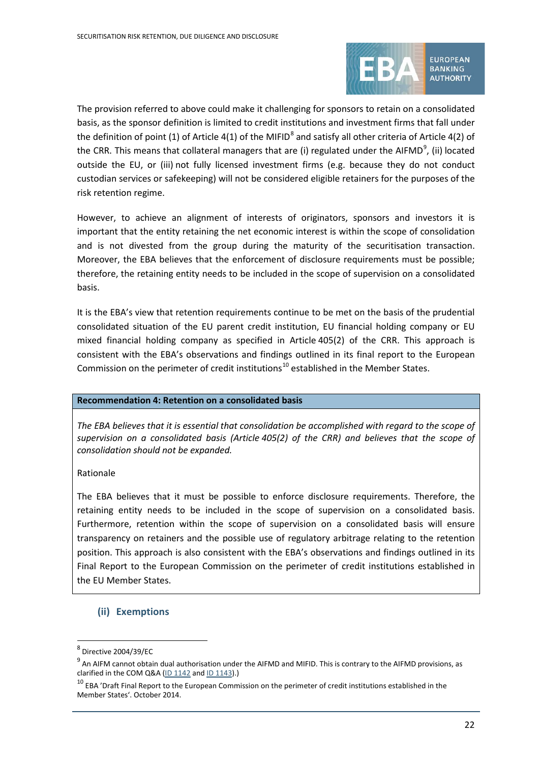

The provision referred to above could make it challenging for sponsors to retain on a consolidated basis, as the sponsor definition is limited to credit institutions and investment firms that fall under the definition of point (1) of Article 4(1) of the MIFID<sup>[8](#page-20-1)</sup> and satisfy all other criteria of Article 4(2) of the CRR. This means that collateral managers that are (i) regulated under the AIFMD<sup>[9](#page-20-2)</sup>, (ii) located outside the EU, or (iii) not fully licensed investment firms (e.g. because they do not conduct custodian services or safekeeping) will not be considered eligible retainers for the purposes of the risk retention regime.

However, to achieve an alignment of interests of originators, sponsors and investors it is important that the entity retaining the net economic interest is within the scope of consolidation and is not divested from the group during the maturity of the securitisation transaction. Moreover, the EBA believes that the enforcement of disclosure requirements must be possible; therefore, the retaining entity needs to be included in the scope of supervision on a consolidated basis.

It is the EBA's view that retention requirements continue to be met on the basis of the prudential consolidated situation of the EU parent credit institution, EU financial holding company or EU mixed financial holding company as specified in Article 405(2) of the CRR. This approach is consistent with the EBA's observations and findings outlined in its final report to the European Commission on the perimeter of credit institutions<sup>[10](#page-21-0)</sup> established in the Member States.

#### **Recommendation 4: Retention on a consolidated basis**

*The EBA believes that it is essential that consolidation be accomplished with regard to the scope of supervision on a consolidated basis (Article 405(2) of the CRR) and believes that the scope of consolidation should not be expanded.* 

#### Rationale

The EBA believes that it must be possible to enforce disclosure requirements. Therefore, the retaining entity needs to be included in the scope of supervision on a consolidated basis. Furthermore, retention within the scope of supervision on a consolidated basis will ensure transparency on retainers and the possible use of regulatory arbitrage relating to the retention position. This approach is also consistent with the EBA's observations and findings outlined in its Final Report to the European Commission on the perimeter of credit institutions established in the EU Member States.

#### **(ii) Exemptions**

<sup>8</sup> Directive 2004/39/EC

 $9<sup>9</sup>$  An AIFM cannot obtain dual authorisation under the AIFMD and MIFID. This is contrary to the AIFMD provisions, as clarified in the COM Q&A ( $ID$  1142 and  $ID$  1143).)

<span id="page-21-0"></span><sup>&</sup>lt;sup>10</sup> EBA 'Draft Final Report to the European Commission on the perimeter of credit institutions established in the Member States'. October 2014.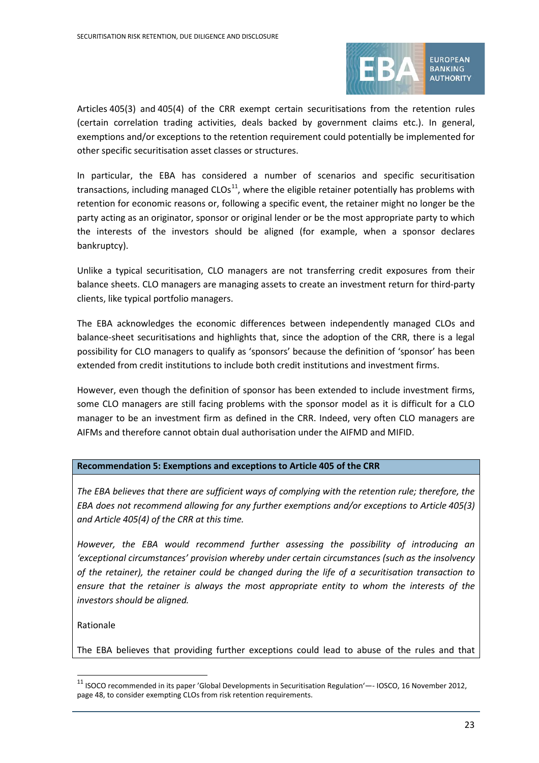

Articles 405(3) and 405(4) of the CRR exempt certain securitisations from the retention rules (certain correlation trading activities, deals backed by government claims etc.). In general, exemptions and/or exceptions to the retention requirement could potentially be implemented for other specific securitisation asset classes or structures.

In particular, the EBA has considered a number of scenarios and specific securitisation transactions, including managed  $CLOS<sup>11</sup>$ , where the eligible retainer potentially has problems with retention for economic reasons or, following a specific event, the retainer might no longer be the party acting as an originator, sponsor or original lender or be the most appropriate party to which the interests of the investors should be aligned (for example, when a sponsor declares bankruptcy).

Unlike a typical securitisation, CLO managers are not transferring credit exposures from their balance sheets. CLO managers are managing assets to create an investment return for third-party clients, like typical portfolio managers.

The EBA acknowledges the economic differences between independently managed CLOs and balance-sheet securitisations and highlights that, since the adoption of the CRR, there is a legal possibility for CLO managers to qualify as 'sponsors' because the definition of 'sponsor' has been extended from credit institutions to include both credit institutions and investment firms.

However, even though the definition of sponsor has been extended to include investment firms, some CLO managers are still facing problems with the sponsor model as it is difficult for a CLO manager to be an investment firm as defined in the CRR. Indeed, very often CLO managers are AIFMs and therefore cannot obtain dual authorisation under the AIFMD and MIFID.

#### **Recommendation 5: Exemptions and exceptions to Article 405 of the CRR**

*The EBA believes that there are sufficient ways of complying with the retention rule; therefore, the EBA does not recommend allowing for any further exemptions and/or exceptions to Article 405(3) and Article 405(4) of the CRR at this time.* 

*However, the EBA would recommend further assessing the possibility of introducing an 'exceptional circumstances' provision whereby under certain circumstances (such as the insolvency of the retainer), the retainer could be changed during the life of a securitisation transaction to ensure that the retainer is always the most appropriate entity to whom the interests of the investors should be aligned.*

Rationale

 $\overline{a}$ 

The EBA believes that providing further exceptions could lead to abuse of the rules and that

<span id="page-22-0"></span><sup>11</sup> ISOCO recommended in its paper 'Global Developments in Securitisation Regulation'—- IOSCO, 16 November 2012, page 48, to consider exempting CLOs from risk retention requirements.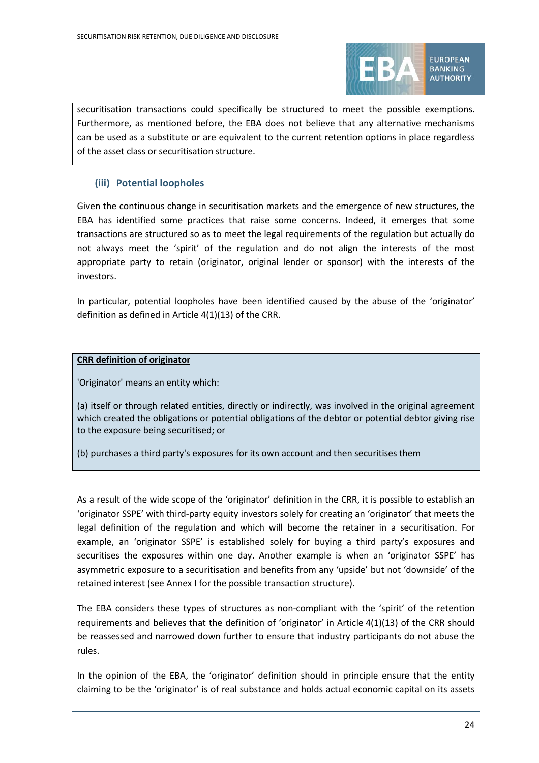

BANKING **AUTHORITY** 

securitisation transactions could specifically be structured to meet the possible exemptions. Furthermore, as mentioned before, the EBA does not believe that any alternative mechanisms can be used as a substitute or are equivalent to the current retention options in place regardless of the asset class or securitisation structure.

### **(iii) Potential loopholes**

Given the continuous change in securitisation markets and the emergence of new structures, the EBA has identified some practices that raise some concerns. Indeed, it emerges that some transactions are structured so as to meet the legal requirements of the regulation but actually do not always meet the 'spirit' of the regulation and do not align the interests of the most appropriate party to retain (originator, original lender or sponsor) with the interests of the investors.

In particular, potential loopholes have been identified caused by the abuse of the 'originator' definition as defined in Article 4(1)(13) of the CRR.

#### **CRR definition of originator**

'Originator' means an entity which:

(a) itself or through related entities, directly or indirectly, was involved in the original agreement which created the obligations or potential obligations of the debtor or potential debtor giving rise to the exposure being securitised; or

(b) purchases a third party's exposures for its own account and then securitises them

As a result of the wide scope of the 'originator' definition in the CRR, it is possible to establish an 'originator SSPE' with third-party equity investors solely for creating an 'originator' that meets the legal definition of the regulation and which will become the retainer in a securitisation. For example, an 'originator SSPE' is established solely for buying a third party's exposures and securitises the exposures within one day. Another example is when an 'originator SSPE' has asymmetric exposure to a securitisation and benefits from any 'upside' but not 'downside' of the retained interest (see Annex I for the possible transaction structure).

The EBA considers these types of structures as non-compliant with the 'spirit' of the retention requirements and believes that the definition of 'originator' in Article 4(1)(13) of the CRR should be reassessed and narrowed down further to ensure that industry participants do not abuse the rules.

<span id="page-23-0"></span>In the opinion of the EBA, the 'originator' definition should in principle ensure that the entity claiming to be the 'originator' is of real substance and holds actual economic capital on its assets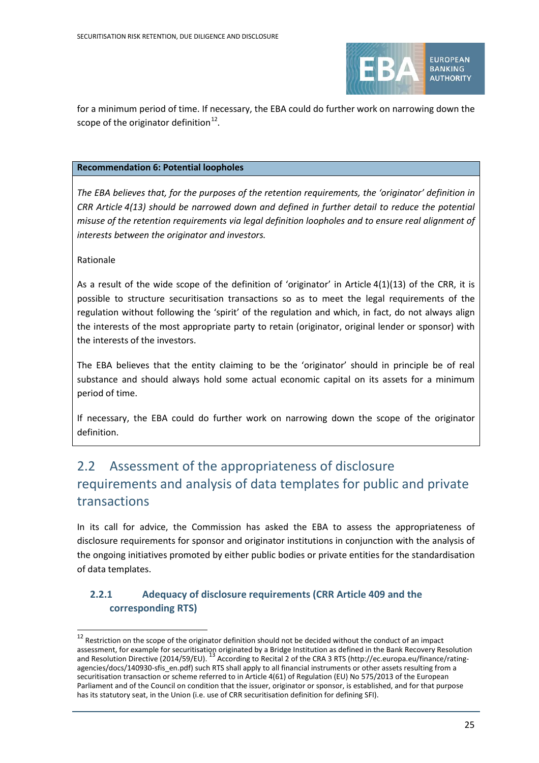

for a minimum period of time. If necessary, the EBA could do further work on narrowing down the scope of the originator definition $^{12}$  $^{12}$  $^{12}$ .

#### **Recommendation 6: Potential loopholes**

*The EBA believes that, for the purposes of the retention requirements, the 'originator' definition in CRR Article 4(13) should be narrowed down and defined in further detail to reduce the potential misuse of the retention requirements via legal definition loopholes and to ensure real alignment of interests between the originator and investors.*

Rationale

 $\overline{a}$ 

As a result of the wide scope of the definition of 'originator' in Article 4(1)(13) of the CRR, it is possible to structure securitisation transactions so as to meet the legal requirements of the regulation without following the 'spirit' of the regulation and which, in fact, do not always align the interests of the most appropriate party to retain (originator, original lender or sponsor) with the interests of the investors.

The EBA believes that the entity claiming to be the 'originator' should in principle be of real substance and should always hold some actual economic capital on its assets for a minimum period of time.

If necessary, the EBA could do further work on narrowing down the scope of the originator definition.

# 2.2 Assessment of the appropriateness of disclosure requirements and analysis of data templates for public and private transactions

In its call for advice, the Commission has asked the EBA to assess the appropriateness of disclosure requirements for sponsor and originator institutions in conjunction with the analysis of the ongoing initiatives promoted by either public bodies or private entities for the standardisation of data templates.

## **2.2.1 Adequacy of disclosure requirements (CRR Article 409 and the corresponding RTS)**

 $12$  Restriction on the scope of the originator definition should not be decided without the conduct of an impact assessment, for example for securitisation originated by a Bridge Institution as defined in the Bank Recovery Resolution<br>and Resolution Directive (2014/59/EU). <sup>13</sup> According to Recital 2 of the CRA 3 RTS (http://ec.europa agencies/docs/140930-sfis\_en.pdf) such RTS shall apply to all financial instruments or other assets resulting from a securitisation transaction or scheme referred to in Article 4(61) of Regulation (EU) No 575/2013 of the European Parliament and of the Council on condition that the issuer, originator or sponsor, is established, and for that purpose has its statutory seat, in the Union (i.e. use of CRR securitisation definition for defining SFI).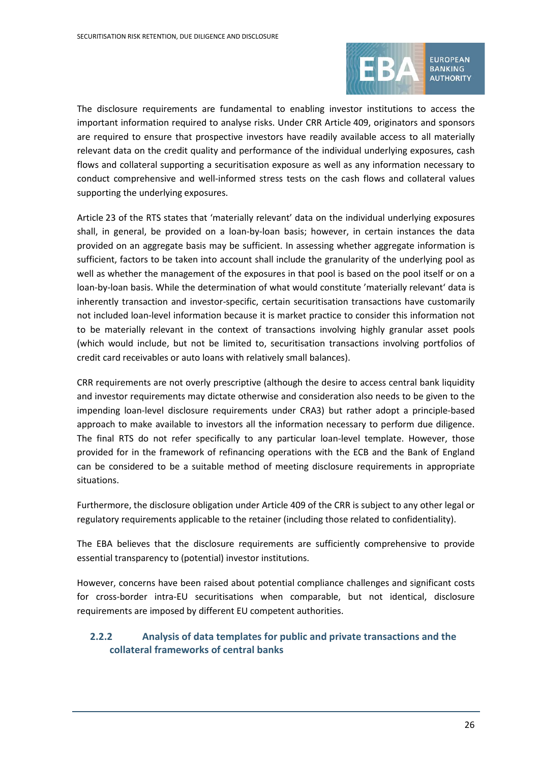

The disclosure requirements are fundamental to enabling investor institutions to access the important information required to analyse risks. Under CRR Article 409, originators and sponsors are required to ensure that prospective investors have readily available access to all materially relevant data on the credit quality and performance of the individual underlying exposures, cash flows and collateral supporting a securitisation exposure as well as any information necessary to conduct comprehensive and well-informed stress tests on the cash flows and collateral values supporting the underlying exposures.

Article 23 of the RTS states that 'materially relevant' data on the individual underlying exposures shall, in general, be provided on a loan-by-loan basis; however, in certain instances the data provided on an aggregate basis may be sufficient. In assessing whether aggregate information is sufficient, factors to be taken into account shall include the granularity of the underlying pool as well as whether the management of the exposures in that pool is based on the pool itself or on a loan-by-loan basis. While the determination of what would constitute 'materially relevant' data is inherently transaction and investor-specific, certain securitisation transactions have customarily not included loan-level information because it is market practice to consider this information not to be materially relevant in the context of transactions involving highly granular asset pools (which would include, but not be limited to, securitisation transactions involving portfolios of credit card receivables or auto loans with relatively small balances).

CRR requirements are not overly prescriptive (although the desire to access central bank liquidity and investor requirements may dictate otherwise and consideration also needs to be given to the impending loan-level disclosure requirements under CRA3) but rather adopt a principle-based approach to make available to investors all the information necessary to perform due diligence. The final RTS do not refer specifically to any particular loan-level template. However, those provided for in the framework of refinancing operations with the ECB and the Bank of England can be considered to be a suitable method of meeting disclosure requirements in appropriate situations.

Furthermore, the disclosure obligation under Article 409 of the CRR is subject to any other legal or regulatory requirements applicable to the retainer (including those related to confidentiality).

The EBA believes that the disclosure requirements are sufficiently comprehensive to provide essential transparency to (potential) investor institutions.

However, concerns have been raised about potential compliance challenges and significant costs for cross-border intra-EU securitisations when comparable, but not identical, disclosure requirements are imposed by different EU competent authorities.

## <span id="page-25-1"></span><span id="page-25-0"></span>**2.2.2 Analysis of data templates for public and private transactions and the collateral frameworks of central banks**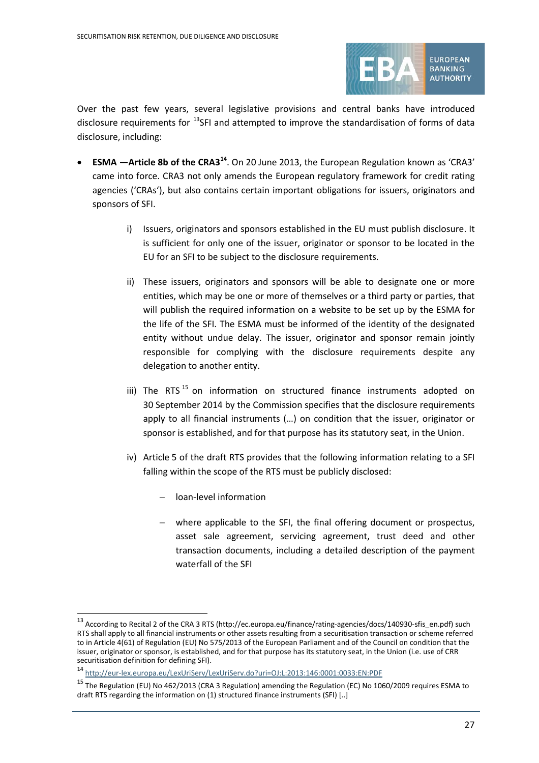

Over the past few years, several legislative provisions and central banks have introduced disclosure requirements for <sup>[13](#page-25-0)</sup>SFI and attempted to improve the standardisation of forms of data disclosure, including:

- **ESMA —Article 8b of the CRA3[14](#page-25-1)**. On 20 June 2013, the European Regulation known as 'CRA3' came into force. CRA3 not only amends the European regulatory framework for credit rating agencies ('CRAs'), but also contains certain important obligations for issuers, originators and sponsors of SFI.
	- i) Issuers, originators and sponsors established in the EU must publish disclosure. It is sufficient for only one of the issuer, originator or sponsor to be located in the EU for an SFI to be subject to the disclosure requirements.
	- ii) These issuers, originators and sponsors will be able to designate one or more entities, which may be one or more of themselves or a third party or parties, that will publish the required information on a website to be set up by the ESMA for the life of the SFI. The ESMA must be informed of the identity of the designated entity without undue delay. The issuer, originator and sponsor remain jointly responsible for complying with the disclosure requirements despite any delegation to another entity.
	- iii) The RTS  $15$  on information on structured finance instruments adopted on 30 September 2014 by the Commission specifies that the disclosure requirements apply to all financial instruments (…) on condition that the issuer, originator or sponsor is established, and for that purpose has its statutory seat, in the Union.
	- iv) Article 5 of the draft RTS provides that the following information relating to a SFI falling within the scope of the RTS must be publicly disclosed:
		- − loan-level information

 $\overline{a}$ 

− where applicable to the SFI, the final offering document or prospectus, asset sale agreement, servicing agreement, trust deed and other transaction documents, including a detailed description of the payment waterfall of the SFI

<sup>13</sup> According to Recital 2 of the CRA 3 RTS (http://ec.europa.eu/finance/rating-agencies/docs/140930-sfis\_en.pdf) such RTS shall apply to all financial instruments or other assets resulting from a securitisation transaction or scheme referred to in Article 4(61) of Regulation (EU) No 575/2013 of the European Parliament and of the Council on condition that the issuer, originator or sponsor, is established, and for that purpose has its statutory seat, in the Union (i.e. use of CRR securitisation definition for defining SFI).

<sup>14</sup> <http://eur-lex.europa.eu/LexUriServ/LexUriServ.do?uri=OJ:L:2013:146:0001:0033:EN:PDF>

<span id="page-26-0"></span><sup>&</sup>lt;sup>15</sup> The Regulation (EU) No 462/2013 (CRA 3 Regulation) amending the Regulation (EC) No 1060/2009 requires ESMA to draft RTS regarding the information on (1) structured finance instruments (SFI) [..]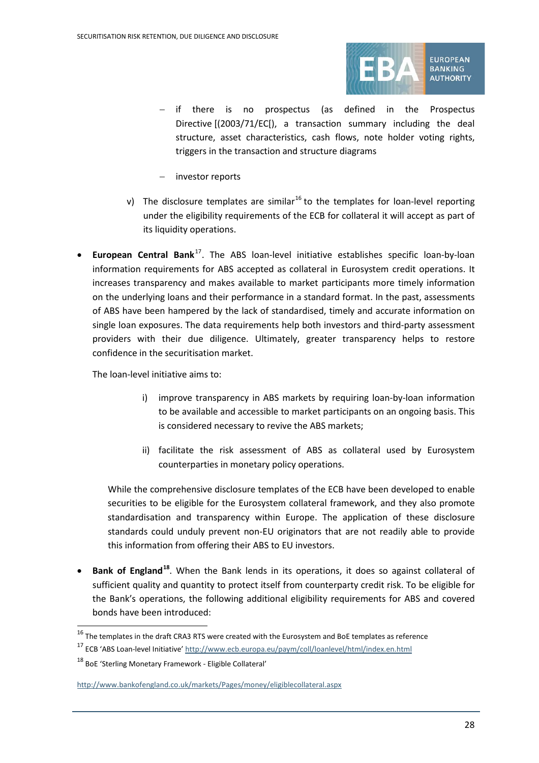

- − if there is no prospectus (as defined in the Prospectus Directive [(2003/71/EC[), a transaction summary including the deal structure, asset characteristics, cash flows, note holder voting rights, triggers in the transaction and structure diagrams
- − investor reports
- v) The disclosure templates are similar<sup>[16](#page-27-0)</sup> to the templates for loan-level reporting under the eligibility requirements of the ECB for collateral it will accept as part of its liquidity operations.
- **European Central Bank**[17](#page-27-1). The ABS loan-level initiative establishes specific loan-by-loan information requirements for ABS accepted as collateral in Eurosystem credit operations. It increases transparency and makes available to market participants more timely information on the underlying loans and their performance in a standard format. In the past, assessments of ABS have been hampered by the lack of standardised, timely and accurate information on single loan exposures. The data requirements help both investors and third-party assessment providers with their due diligence. Ultimately, greater transparency helps to restore confidence in the securitisation market.

The loan-level initiative aims to:

- i) improve transparency in ABS markets by requiring loan-by-loan information to be available and accessible to market participants on an ongoing basis. This is considered necessary to revive the ABS markets;
- ii) facilitate the risk assessment of ABS as collateral used by Eurosystem counterparties in monetary policy operations.

While the comprehensive disclosure templates of the ECB have been developed to enable securities to be eligible for the Eurosystem collateral framework, and they also promote standardisation and transparency within Europe. The application of these disclosure standards could unduly prevent non-EU originators that are not readily able to provide this information from offering their ABS to EU investors.

• **Bank of England[18](#page-27-2)**. When the Bank lends in its operations, it does so against collateral of sufficient quality and quantity to protect itself from counterparty credit risk. To be eligible for the Bank's operations, the following additional eligibility requirements for ABS and covered bonds have been introduced:

<span id="page-27-0"></span> $^{16}$  The templates in the draft CRA3 RTS were created with the Eurosystem and BoE templates as reference

<span id="page-27-1"></span><sup>&</sup>lt;sup>17</sup> ECB 'ABS Loan-level Initiative[' http://www.ecb.europa.eu/paym/coll/loanlevel/html/index.en.html](http://www.ecb.europa.eu/paym/coll/loanlevel/html/index.en.html)

<span id="page-27-2"></span><sup>18</sup> BoE 'Sterling Monetary Framework - Eligible Collateral'

<http://www.bankofengland.co.uk/markets/Pages/money/eligiblecollateral.aspx>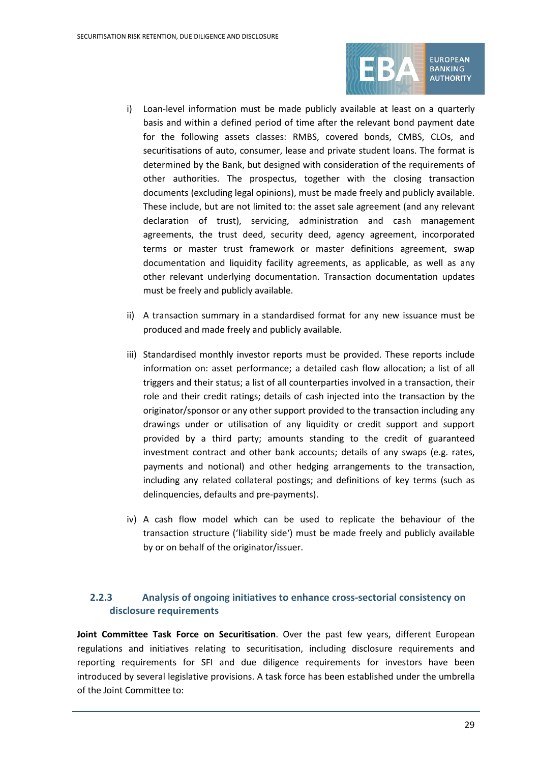

**EUROPEAN** BANKING **AUTHORITY** 

- i) Loan-level information must be made publicly available at least on a quarterly basis and within a defined period of time after the relevant bond payment date for the following assets classes: RMBS, covered bonds, CMBS, CLOs, and securitisations of auto, consumer, lease and private student loans. The format is determined by the Bank, but designed with consideration of the requirements of other authorities. The prospectus, together with the closing transaction documents (excluding legal opinions), must be made freely and publicly available. These include, but are not limited to: the asset sale agreement (and any relevant declaration of trust), servicing, administration and cash management agreements, the trust deed, security deed, agency agreement, incorporated terms or master trust framework or master definitions agreement, swap documentation and liquidity facility agreements, as applicable, as well as any other relevant underlying documentation. Transaction documentation updates must be freely and publicly available.
- ii) A transaction summary in a standardised format for any new issuance must be produced and made freely and publicly available.
- iii) Standardised monthly investor reports must be provided. These reports include information on: asset performance; a detailed cash flow allocation; a list of all triggers and their status; a list of all counterparties involved in a transaction, their role and their credit ratings; details of cash injected into the transaction by the originator/sponsor or any other support provided to the transaction including any drawings under or utilisation of any liquidity or credit support and support provided by a third party; amounts standing to the credit of guaranteed investment contract and other bank accounts; details of any swaps (e.g. rates, payments and notional) and other hedging arrangements to the transaction, including any related collateral postings; and definitions of key terms (such as delinquencies, defaults and pre-payments).
- iv) A cash flow model which can be used to replicate the behaviour of the transaction structure ('liability side') must be made freely and publicly available by or on behalf of the originator/issuer.

### **2.2.3 Analysis of ongoing initiatives to enhance cross-sectorial consistency on disclosure requirements**

**Joint Committee Task Force on Securitisation**. Over the past few years, different European regulations and initiatives relating to securitisation, including disclosure requirements and reporting requirements for SFI and due diligence requirements for investors have been introduced by several legislative provisions. A task force has been established under the umbrella of the Joint Committee to: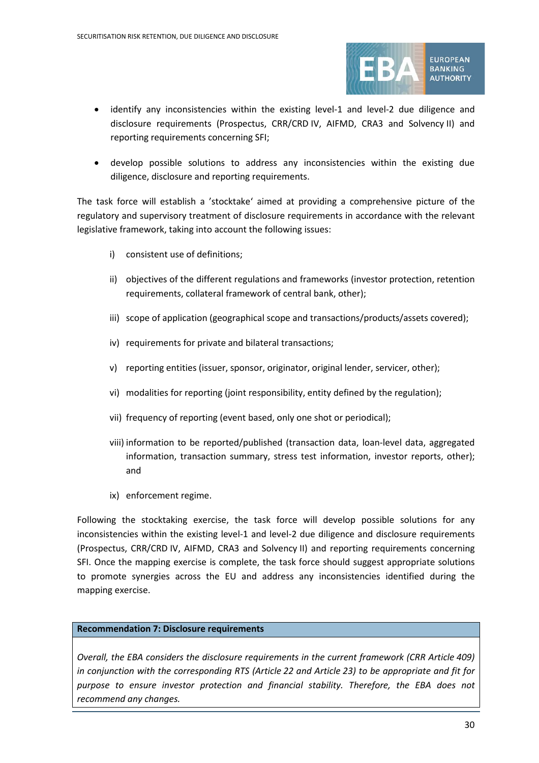

- identify any inconsistencies within the existing level-1 and level-2 due diligence and disclosure requirements (Prospectus, CRR/CRD IV, AIFMD, CRA3 and Solvency II) and reporting requirements concerning SFI;
- develop possible solutions to address any inconsistencies within the existing due diligence, disclosure and reporting requirements.

The task force will establish a 'stocktake' aimed at providing a comprehensive picture of the regulatory and supervisory treatment of disclosure requirements in accordance with the relevant legislative framework, taking into account the following issues:

- i) consistent use of definitions;
- ii) objectives of the different regulations and frameworks (investor protection, retention requirements, collateral framework of central bank, other);
- iii) scope of application (geographical scope and transactions/products/assets covered);
- iv) requirements for private and bilateral transactions;
- v) reporting entities (issuer, sponsor, originator, original lender, servicer, other);
- vi) modalities for reporting (joint responsibility, entity defined by the regulation);
- vii) frequency of reporting (event based, only one shot or periodical);
- viii) information to be reported/published (transaction data, loan-level data, aggregated information, transaction summary, stress test information, investor reports, other); and
- ix) enforcement regime.

Following the stocktaking exercise, the task force will develop possible solutions for any inconsistencies within the existing level-1 and level-2 due diligence and disclosure requirements (Prospectus, CRR/CRD IV, AIFMD, CRA3 and Solvency II) and reporting requirements concerning SFI. Once the mapping exercise is complete, the task force should suggest appropriate solutions to promote synergies across the EU and address any inconsistencies identified during the mapping exercise.

#### **Recommendation 7: Disclosure requirements**

*Overall, the EBA considers the disclosure requirements in the current framework (CRR Article 409) in conjunction with the corresponding RTS (Article 22 and Article 23) to be appropriate and fit for purpose to ensure investor protection and financial stability. Therefore, the EBA does not recommend any changes.*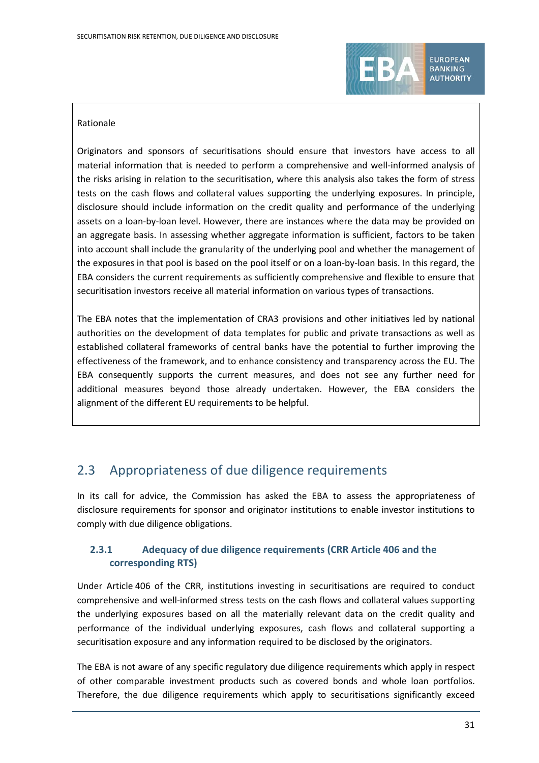

**EUROPEAN BANKING AUTHORITY** 

#### Rationale

Originators and sponsors of securitisations should ensure that investors have access to all material information that is needed to perform a comprehensive and well-informed analysis of the risks arising in relation to the securitisation, where this analysis also takes the form of stress tests on the cash flows and collateral values supporting the underlying exposures. In principle, disclosure should include information on the credit quality and performance of the underlying assets on a loan-by-loan level. However, there are instances where the data may be provided on an aggregate basis. In assessing whether aggregate information is sufficient, factors to be taken into account shall include the granularity of the underlying pool and whether the management of the exposures in that pool is based on the pool itself or on a loan-by-loan basis. In this regard, the EBA considers the current requirements as sufficiently comprehensive and flexible to ensure that securitisation investors receive all material information on various types of transactions.

The EBA notes that the implementation of CRA3 provisions and other initiatives led by national authorities on the development of data templates for public and private transactions as well as established collateral frameworks of central banks have the potential to further improving the effectiveness of the framework, and to enhance consistency and transparency across the EU. The EBA consequently supports the current measures, and does not see any further need for additional measures beyond those already undertaken. However, the EBA considers the alignment of the different EU requirements to be helpful.

## 2.3 Appropriateness of due diligence requirements

In its call for advice, the Commission has asked the EBA to assess the appropriateness of disclosure requirements for sponsor and originator institutions to enable investor institutions to comply with due diligence obligations.

## **2.3.1 Adequacy of due diligence requirements (CRR Article 406 and the corresponding RTS)**

Under Article 406 of the CRR, institutions investing in securitisations are required to conduct comprehensive and well-informed stress tests on the cash flows and collateral values supporting the underlying exposures based on all the materially relevant data on the credit quality and performance of the individual underlying exposures, cash flows and collateral supporting a securitisation exposure and any information required to be disclosed by the originators.

The EBA is not aware of any specific regulatory due diligence requirements which apply in respect of other comparable investment products such as covered bonds and whole loan portfolios. Therefore, the due diligence requirements which apply to securitisations significantly exceed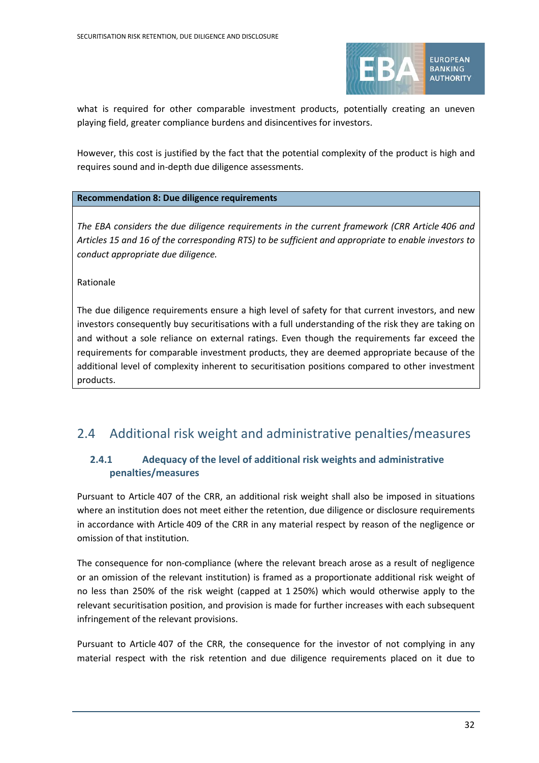

what is required for other comparable investment products, potentially creating an uneven playing field, greater compliance burdens and disincentives for investors.

However, this cost is justified by the fact that the potential complexity of the product is high and requires sound and in-depth due diligence assessments.

#### **Recommendation 8: Due diligence requirements**

*The EBA considers the due diligence requirements in the current framework (CRR Article 406 and Articles 15 and 16 of the corresponding RTS) to be sufficient and appropriate to enable investors to conduct appropriate due diligence.*

Rationale

The due diligence requirements ensure a high level of safety for that current investors, and new investors consequently buy securitisations with a full understanding of the risk they are taking on and without a sole reliance on external ratings. Even though the requirements far exceed the requirements for comparable investment products, they are deemed appropriate because of the additional level of complexity inherent to securitisation positions compared to other investment products.

## 2.4 Additional risk weight and administrative penalties/measures

### **2.4.1 Adequacy of the level of additional risk weights and administrative penalties/measures**

Pursuant to Article 407 of the CRR, an additional risk weight shall also be imposed in situations where an institution does not meet either the retention, due diligence or disclosure requirements in accordance with Article 409 of the CRR in any material respect by reason of the negligence or omission of that institution.

The consequence for non-compliance (where the relevant breach arose as a result of negligence or an omission of the relevant institution) is framed as a proportionate additional risk weight of no less than 250% of the risk weight (capped at 1 250%) which would otherwise apply to the relevant securitisation position, and provision is made for further increases with each subsequent infringement of the relevant provisions.

<span id="page-31-0"></span>Pursuant to Article 407 of the CRR, the consequence for the investor of not complying in any material respect with the risk retention and due diligence requirements placed on it due to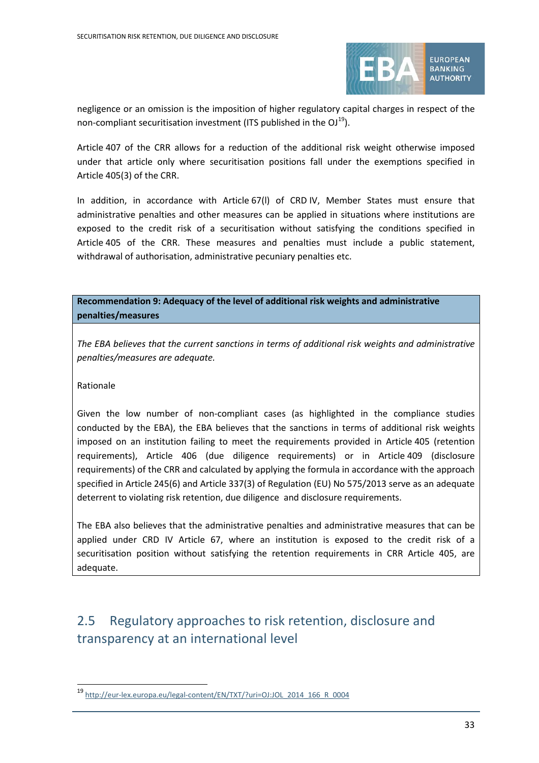

negligence or an omission is the imposition of higher regulatory capital charges in respect of the non-compliant securitisation investment (ITS published in the  $OJ^{19}$  $OJ^{19}$  $OJ^{19}$ ).

Article 407 of the CRR allows for a reduction of the additional risk weight otherwise imposed under that article only where securitisation positions fall under the exemptions specified in Article 405(3) of the CRR.

In addition, in accordance with Article 67(l) of CRD IV, Member States must ensure that administrative penalties and other measures can be applied in situations where institutions are exposed to the credit risk of a securitisation without satisfying the conditions specified in Article 405 of the CRR. These measures and penalties must include a public statement, withdrawal of authorisation, administrative pecuniary penalties etc.

**Recommendation 9: Adequacy of the level of additional risk weights and administrative penalties/measures**

*The EBA believes that the current sanctions in terms of additional risk weights and administrative penalties/measures are adequate.*

Rationale

 $\overline{a}$ 

Given the low number of non-compliant cases (as highlighted in the compliance studies conducted by the EBA), the EBA believes that the sanctions in terms of additional risk weights imposed on an institution failing to meet the requirements provided in Article 405 (retention requirements), Article 406 (due diligence requirements) or in Article 409 (disclosure requirements) of the CRR and calculated by applying the formula in accordance with the approach specified in Article 245(6) and Article 337(3) of Regulation (EU) No 575/2013 serve as an adequate deterrent to violating risk retention, due diligence and disclosure requirements.

The EBA also believes that the administrative penalties and administrative measures that can be applied under CRD IV Article 67, where an institution is exposed to the credit risk of a securitisation position without satisfying the retention requirements in CRR Article 405, are adequate.

# 2.5 Regulatory approaches to risk retention, disclosure and transparency at an international level

<sup>19</sup> [http://eur-lex.europa.eu/legal-content/EN/TXT/?uri=OJ:JOL\\_2014\\_166\\_R\\_0004](http://eur-lex.europa.eu/legal-content/EN/TXT/?uri=OJ:JOL_2014_166_R_0004)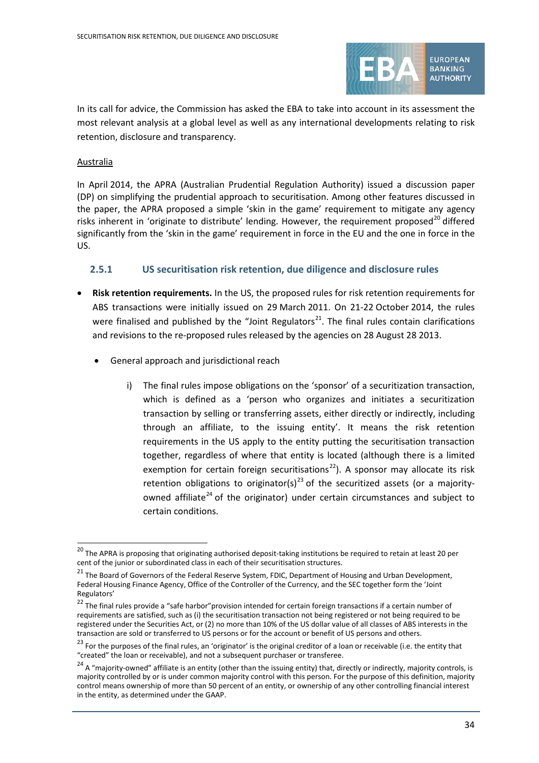

In its call for advice, the Commission has asked the EBA to take into account in its assessment the most relevant analysis at a global level as well as any international developments relating to risk retention, disclosure and transparency.

#### Australia

 $\overline{a}$ 

In April 2014, the APRA (Australian Prudential Regulation Authority) issued a discussion paper (DP) on simplifying the prudential approach to securitisation. Among other features discussed in the paper, the APRA proposed a simple 'skin in the game' requirement to mitigate any agency risks inherent in 'originate to distribute' lending. However, the requirement proposed<sup>[20](#page-33-0)</sup> differed significantly from the 'skin in the game' requirement in force in the EU and the one in force in the US.

### **2.5.1 US securitisation risk retention, due diligence and disclosure rules**

- **Risk retention requirements.** In the US, the proposed rules for risk retention requirements for ABS transactions were initially issued on 29 March 2011. On 21-22 October 2014, the rules were finalised and published by the "Joint Regulators<sup>[21](#page-33-1)</sup>. The final rules contain clarifications and revisions to the re-proposed rules released by the agencies on 28 August 28 2013.
	- General approach and jurisdictional reach
		- i) The final rules impose obligations on the 'sponsor' of a securitization transaction, which is defined as a 'person who organizes and initiates a securitization transaction by selling or transferring assets, either directly or indirectly, including through an affiliate, to the issuing entity'. It means the risk retention requirements in the US apply to the entity putting the securitisation transaction together, regardless of where that entity is located (although there is a limited exemption for certain foreign securitisations<sup>22</sup>). A sponsor may allocate its risk retention obligations to originator(s)<sup>[23](#page-33-3)</sup> of the securitized assets (or a majority-owned affiliate<sup>[24](#page-33-4)</sup> of the originator) under certain circumstances and subject to certain conditions.

<span id="page-33-0"></span><sup>&</sup>lt;sup>20</sup> The APRA is proposing that originating authorised deposit-taking institutions be required to retain at least 20 per cent of the junior or subordinated class in each of their securitisation structures.

<span id="page-33-1"></span><sup>&</sup>lt;sup>21</sup> The Board of Governors of the Federal Reserve System, FDIC, Department of Housing and Urban Development, Federal Housing Finance Agency, Office of the Controller of the Currency, and the SEC together form the 'Joint Regulators'

<span id="page-33-2"></span> $22$  The final rules provide a "safe harbor" provision intended for certain foreign transactions if a certain number of requirements are satisfied, such as (i) the securitisation transaction not being registered or not being required to be registered under the Securities Act, or (2) no more than 10% of the US dollar value of all classes of ABS interests in the transaction are sold or transferred to US persons or for the account or benefit of US persons and others.

<span id="page-33-3"></span><sup>&</sup>lt;sup>23</sup> For the purposes of the final rules, an 'originator' is the original creditor of a loan or receivable (i.e. the entity that "created" the loan or receivable), and not a subsequent purchaser or transferee.

<span id="page-33-4"></span> $24$  A "majority-owned" affiliate is an entity (other than the issuing entity) that, directly or indirectly, majority controls, is majority controlled by or is under common majority control with this person. For the purpose of this definition, majority control means ownership of more than 50 percent of an entity, or ownership of any other controlling financial interest in the entity, as determined under the GAAP.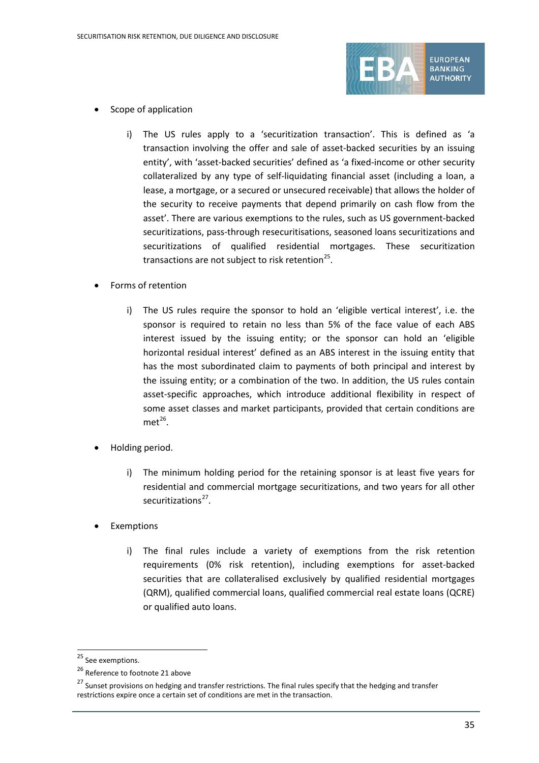

- Scope of application
	- i) The US rules apply to a 'securitization transaction'. This is defined as 'a transaction involving the offer and sale of asset-backed securities by an issuing entity', with 'asset-backed securities' defined as 'a fixed-income or other security collateralized by any type of self-liquidating financial asset (including a loan, a lease, a mortgage, or a secured or unsecured receivable) that allows the holder of the security to receive payments that depend primarily on cash flow from the asset'. There are various exemptions to the rules, such as US government-backed securitizations, pass-through resecuritisations, seasoned loans securitizations and securitizations of qualified residential mortgages. These securitization transactions are not subject to risk retention<sup>25</sup>.
- Forms of retention
	- i) The US rules require the sponsor to hold an 'eligible vertical interest', i.e. the sponsor is required to retain no less than 5% of the face value of each ABS interest issued by the issuing entity; or the sponsor can hold an 'eligible horizontal residual interest' defined as an ABS interest in the issuing entity that has the most subordinated claim to payments of both principal and interest by the issuing entity; or a combination of the two. In addition, the US rules contain asset-specific approaches, which introduce additional flexibility in respect of some asset classes and market participants, provided that certain conditions are  $met^{26}$  $met^{26}$  $met^{26}$ .
- Holding period.
	- i) The minimum holding period for the retaining sponsor is at least five years for residential and commercial mortgage securitizations, and two years for all other securitizations<sup>[27](#page-34-2)</sup>.
- **Exemptions** 
	- i) The final rules include a variety of exemptions from the risk retention requirements (0% risk retention), including exemptions for asset-backed securities that are collateralised exclusively by qualified residential mortgages (QRM), qualified commercial loans, qualified commercial real estate loans (QCRE) or qualified auto loans.

<span id="page-34-0"></span><sup>&</sup>lt;sup>25</sup> See exemptions.

<span id="page-34-1"></span><sup>&</sup>lt;sup>26</sup> Reference to footnote 21 above

<span id="page-34-2"></span><sup>&</sup>lt;sup>27</sup> Sunset provisions on hedging and transfer restrictions. The final rules specify that the hedging and transfer restrictions expire once a certain set of conditions are met in the transaction.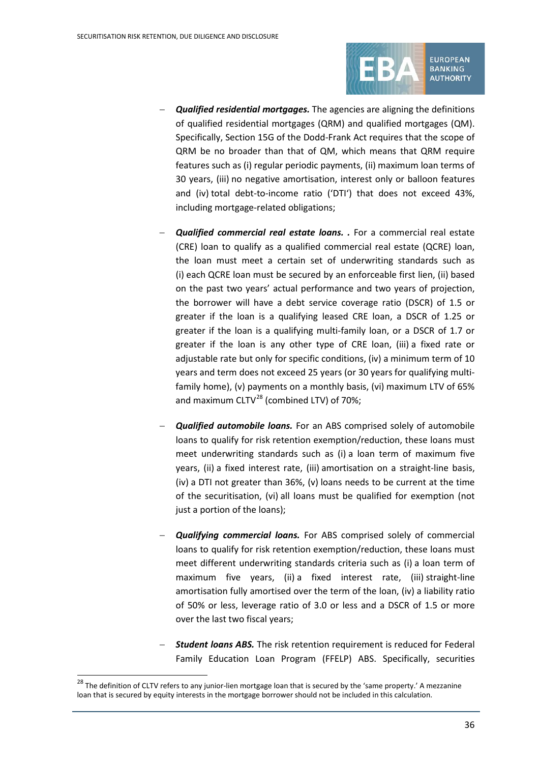

**BANKING AUTHORITY** 

- **Qualified residential mortgages.** The agencies are aligning the definitions of qualified residential mortgages (QRM) and qualified mortgages (QM). Specifically, Section 15G of the Dodd-Frank Act requires that the scope of QRM be no broader than that of QM, which means that QRM require features such as (i) regular periodic payments, (ii) maximum loan terms of 30 years, (iii) no negative amortisation, interest only or balloon features and (iv) total debt-to-income ratio ('DTI') that does not exceed 43%, including mortgage-related obligations;
- − *Qualified commercial real estate loans. .* For a commercial real estate (CRE) loan to qualify as a qualified commercial real estate (QCRE) loan, the loan must meet a certain set of underwriting standards such as (i) each QCRE loan must be secured by an enforceable first lien, (ii) based on the past two years' actual performance and two years of projection, the borrower will have a debt service coverage ratio (DSCR) of 1.5 or greater if the loan is a qualifying leased CRE loan, a DSCR of 1.25 or greater if the loan is a qualifying multi-family loan, or a DSCR of 1.7 or greater if the loan is any other type of CRE loan, (iii) a fixed rate or adjustable rate but only for specific conditions, (iv) a minimum term of 10 years and term does not exceed 25 years (or 30 years for qualifying multifamily home), (v) payments on a monthly basis, (vi) maximum LTV of 65% and maximum  $CLTV^{28}$  $CLTV^{28}$  $CLTV^{28}$  (combined LTV) of 70%;
- Qualified automobile loans. For an ABS comprised solely of automobile loans to qualify for risk retention exemption/reduction, these loans must meet underwriting standards such as (i) a loan term of maximum five years, (ii) a fixed interest rate, (iii) amortisation on a straight-line basis, (iv) a DTI not greater than 36%, (v) loans needs to be current at the time of the securitisation, (vi) all loans must be qualified for exemption (not just a portion of the loans);
- Qualifying commercial loans. For ABS comprised solely of commercial loans to qualify for risk retention exemption/reduction, these loans must meet different underwriting standards criteria such as (i) a loan term of maximum five years, (ii) a fixed interest rate, (iii) straight-line amortisation fully amortised over the term of the loan, (iv) a liability ratio of 50% or less, leverage ratio of 3.0 or less and a DSCR of 1.5 or more over the last two fiscal years;
- **Student loans ABS.** The risk retention requirement is reduced for Federal Family Education Loan Program (FFELP) ABS. Specifically, securities

<span id="page-35-0"></span><sup>&</sup>lt;sup>28</sup> The definition of CLTV refers to any junior-lien mortgage loan that is secured by the 'same property.' A mezzanine loan that is secured by equity interests in the mortgage borrower should not be included in this calculation.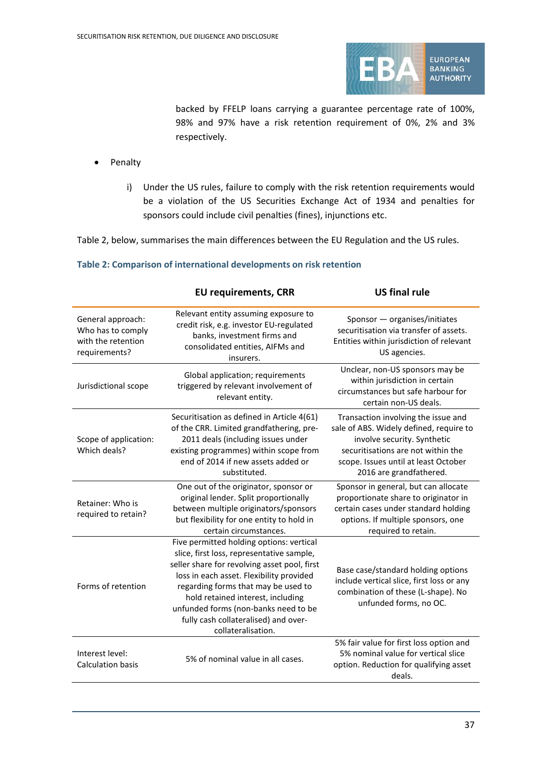

backed by FFELP loans carrying a guarantee percentage rate of 100%, 98% and 97% have a risk retention requirement of 0%, 2% and 3% respectively.

- Penalty
	- i) Under the US rules, failure to comply with the risk retention requirements would be a violation of the US Securities Exchange Act of 1934 and penalties for sponsors could include civil penalties (fines), injunctions etc.

Table 2, below, summarises the main differences between the EU Regulation and the US rules.

<span id="page-36-0"></span>

|                                                                               | <b>EU requirements, CRR</b>                                                                                                                                                                                                                                                                                                                                         | <b>US final rule</b>                                                                                                                                                                                                   |
|-------------------------------------------------------------------------------|---------------------------------------------------------------------------------------------------------------------------------------------------------------------------------------------------------------------------------------------------------------------------------------------------------------------------------------------------------------------|------------------------------------------------------------------------------------------------------------------------------------------------------------------------------------------------------------------------|
| General approach:<br>Who has to comply<br>with the retention<br>requirements? | Relevant entity assuming exposure to<br>credit risk, e.g. investor EU-regulated<br>banks, investment firms and<br>consolidated entities, AIFMs and<br>insurers.                                                                                                                                                                                                     | Sponsor - organises/initiates<br>securitisation via transfer of assets.<br>Entities within jurisdiction of relevant<br>US agencies.                                                                                    |
| Jurisdictional scope                                                          | Global application; requirements<br>triggered by relevant involvement of<br>relevant entity.                                                                                                                                                                                                                                                                        | Unclear, non-US sponsors may be<br>within jurisdiction in certain<br>circumstances but safe harbour for<br>certain non-US deals.                                                                                       |
| Scope of application:<br>Which deals?                                         | Securitisation as defined in Article 4(61)<br>of the CRR. Limited grandfathering, pre-<br>2011 deals (including issues under<br>existing programmes) within scope from<br>end of 2014 if new assets added or<br>substituted.                                                                                                                                        | Transaction involving the issue and<br>sale of ABS. Widely defined, require to<br>involve security. Synthetic<br>securitisations are not within the<br>scope. Issues until at least October<br>2016 are grandfathered. |
| Retainer: Who is<br>required to retain?                                       | One out of the originator, sponsor or<br>original lender. Split proportionally<br>between multiple originators/sponsors<br>but flexibility for one entity to hold in<br>certain circumstances.                                                                                                                                                                      | Sponsor in general, but can allocate<br>proportionate share to originator in<br>certain cases under standard holding<br>options. If multiple sponsors, one<br>required to retain.                                      |
| Forms of retention                                                            | Five permitted holding options: vertical<br>slice, first loss, representative sample,<br>seller share for revolving asset pool, first<br>loss in each asset. Flexibility provided<br>regarding forms that may be used to<br>hold retained interest, including<br>unfunded forms (non-banks need to be<br>fully cash collateralised) and over-<br>collateralisation. | Base case/standard holding options<br>include vertical slice, first loss or any<br>combination of these (L-shape). No<br>unfunded forms, no OC.                                                                        |
| Interest level:<br><b>Calculation basis</b>                                   | 5% of nominal value in all cases.                                                                                                                                                                                                                                                                                                                                   | 5% fair value for first loss option and<br>5% nominal value for vertical slice<br>option. Reduction for qualifying asset<br>deals.                                                                                     |

#### **Table 2: Comparison of international developments on risk retention**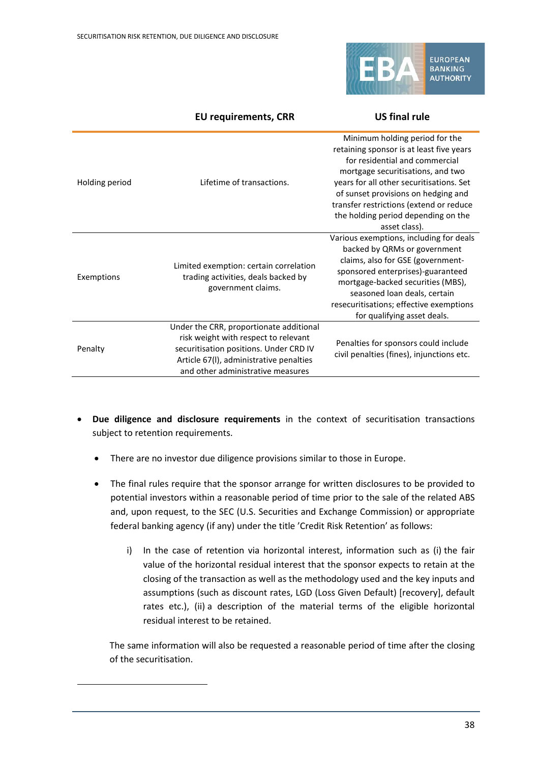

|                | <b>EU requirements, CRR</b>                                                                                                                                                                               | <b>US final rule</b>                                                                                                                                                                                                                                                                                                                    |
|----------------|-----------------------------------------------------------------------------------------------------------------------------------------------------------------------------------------------------------|-----------------------------------------------------------------------------------------------------------------------------------------------------------------------------------------------------------------------------------------------------------------------------------------------------------------------------------------|
| Holding period | Lifetime of transactions.                                                                                                                                                                                 | Minimum holding period for the<br>retaining sponsor is at least five years<br>for residential and commercial<br>mortgage securitisations, and two<br>years for all other securitisations. Set<br>of sunset provisions on hedging and<br>transfer restrictions (extend or reduce<br>the holding period depending on the<br>asset class). |
| Exemptions     | Limited exemption: certain correlation<br>trading activities, deals backed by<br>government claims.                                                                                                       | Various exemptions, including for deals<br>backed by QRMs or government<br>claims, also for GSE (government-<br>sponsored enterprises)-guaranteed<br>mortgage-backed securities (MBS),<br>seasoned loan deals, certain<br>resecuritisations; effective exemptions<br>for qualifying asset deals.                                        |
| Penalty        | Under the CRR, proportionate additional<br>risk weight with respect to relevant<br>securitisation positions. Under CRD IV<br>Article 67(I), administrative penalties<br>and other administrative measures | Penalties for sponsors could include<br>civil penalties (fines), injunctions etc.                                                                                                                                                                                                                                                       |

- **Due diligence and disclosure requirements** in the context of securitisation transactions subject to retention requirements.
	- There are no investor due diligence provisions similar to those in Europe.

<span id="page-37-1"></span><span id="page-37-0"></span> $\overline{a}$ 

- The final rules require that the sponsor arrange for written disclosures to be provided to potential investors within a reasonable period of time prior to the sale of the related ABS and, upon request, to the SEC (U.S. Securities and Exchange Commission) or appropriate federal banking agency (if any) under the title 'Credit Risk Retention' as follows:
	- i) In the case of retention via horizontal interest, information such as (i) the fair value of the horizontal residual interest that the sponsor expects to retain at the closing of the transaction as well as the methodology used and the key inputs and assumptions (such as discount rates, LGD (Loss Given Default) [recovery], default rates etc.), (ii) a description of the material terms of the eligible horizontal residual interest to be retained.

The same information will also be requested a reasonable period of time after the closing of the securitisation.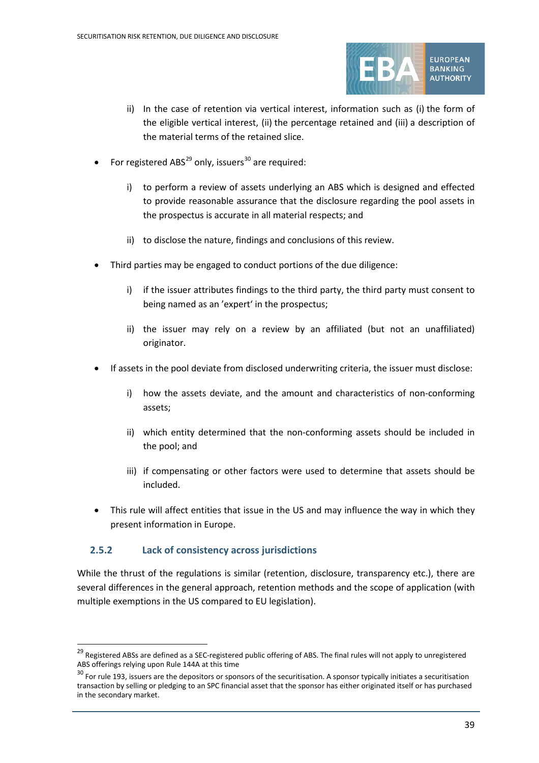

- ii) In the case of retention via vertical interest, information such as (i) the form of the eligible vertical interest, (ii) the percentage retained and (iii) a description of the material terms of the retained slice.
- For registered ABS $^{29}$  $^{29}$  $^{29}$  only, issuers<sup>[30](#page-37-1)</sup> are required:
	- i) to perform a review of assets underlying an ABS which is designed and effected to provide reasonable assurance that the disclosure regarding the pool assets in the prospectus is accurate in all material respects; and
	- ii) to disclose the nature, findings and conclusions of this review.
- Third parties may be engaged to conduct portions of the due diligence:
	- i) if the issuer attributes findings to the third party, the third party must consent to being named as an 'expert' in the prospectus;
	- ii) the issuer may rely on a review by an affiliated (but not an unaffiliated) originator.
- If assets in the pool deviate from disclosed underwriting criteria, the issuer must disclose:
	- i) how the assets deviate, and the amount and characteristics of non-conforming assets;
	- ii) which entity determined that the non-conforming assets should be included in the pool; and
	- iii) if compensating or other factors were used to determine that assets should be included.
- This rule will affect entities that issue in the US and may influence the way in which they present information in Europe.

### **2.5.2 Lack of consistency across jurisdictions**

 $\overline{a}$ 

While the thrust of the regulations is similar (retention, disclosure, transparency etc.), there are several differences in the general approach, retention methods and the scope of application (with multiple exemptions in the US compared to EU legislation).

<sup>&</sup>lt;sup>29</sup> Registered ABSs are defined as a SEC-registered public offering of ABS. The final rules will not apply to unregistered ABS offerings relying upon Rule 144A at this time

 $30$  For rule 193, issuers are the depositors or sponsors of the securitisation. A sponsor typically initiates a securitisation transaction by selling or pledging to an SPC financial asset that the sponsor has either originated itself or has purchased in the secondary market.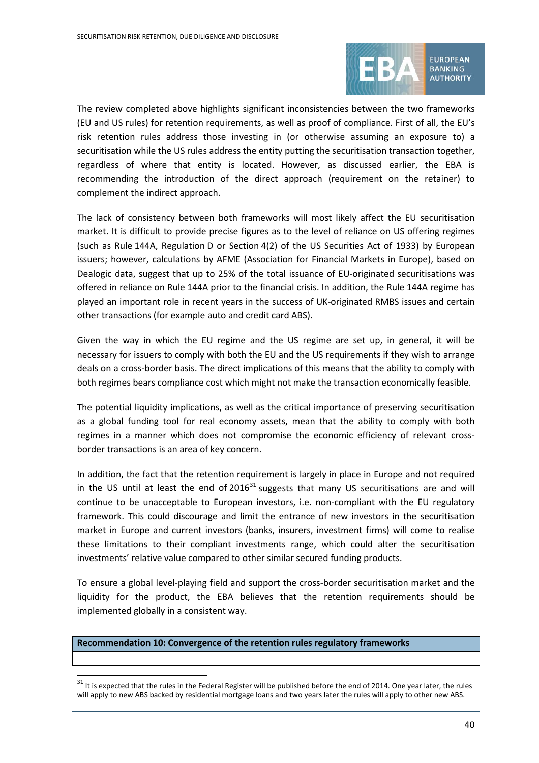

The review completed above highlights significant inconsistencies between the two frameworks (EU and US rules) for retention requirements, as well as proof of compliance. First of all, the EU's risk retention rules address those investing in (or otherwise assuming an exposure to) a securitisation while the US rules address the entity putting the securitisation transaction together, regardless of where that entity is located. However, as discussed earlier, the EBA is recommending the introduction of the direct approach (requirement on the retainer) to complement the indirect approach.

The lack of consistency between both frameworks will most likely affect the EU securitisation market. It is difficult to provide precise figures as to the level of reliance on US offering regimes (such as Rule 144A, Regulation D or Section 4(2) of the US Securities Act of 1933) by European issuers; however, calculations by AFME (Association for Financial Markets in Europe), based on Dealogic data, suggest that up to 25% of the total issuance of EU-originated securitisations was offered in reliance on Rule 144A prior to the financial crisis. In addition, the Rule 144A regime has played an important role in recent years in the success of UK-originated RMBS issues and certain other transactions (for example auto and credit card ABS).

Given the way in which the EU regime and the US regime are set up, in general, it will be necessary for issuers to comply with both the EU and the US requirements if they wish to arrange deals on a cross-border basis. The direct implications of this means that the ability to comply with both regimes bears compliance cost which might not make the transaction economically feasible.

The potential liquidity implications, as well as the critical importance of preserving securitisation as a global funding tool for real economy assets, mean that the ability to comply with both regimes in a manner which does not compromise the economic efficiency of relevant crossborder transactions is an area of key concern.

In addition, the fact that the retention requirement is largely in place in Europe and not required in the US until at least the end of  $2016<sup>31</sup>$  $2016<sup>31</sup>$  $2016<sup>31</sup>$  suggests that many US securitisations are and will continue to be unacceptable to European investors, i.e. non-compliant with the EU regulatory framework. This could discourage and limit the entrance of new investors in the securitisation market in Europe and current investors (banks, insurers, investment firms) will come to realise these limitations to their compliant investments range, which could alter the securitisation investments' relative value compared to other similar secured funding products.

To ensure a global level-playing field and support the cross-border securitisation market and the liquidity for the product, the EBA believes that the retention requirements should be implemented globally in a consistent way.

#### **Recommendation 10: Convergence of the retention rules regulatory frameworks**

<span id="page-39-0"></span> $31$  It is expected that the rules in the Federal Register will be published before the end of 2014. One year later, the rules will apply to new ABS backed by residential mortgage loans and two years later the rules will apply to other new ABS.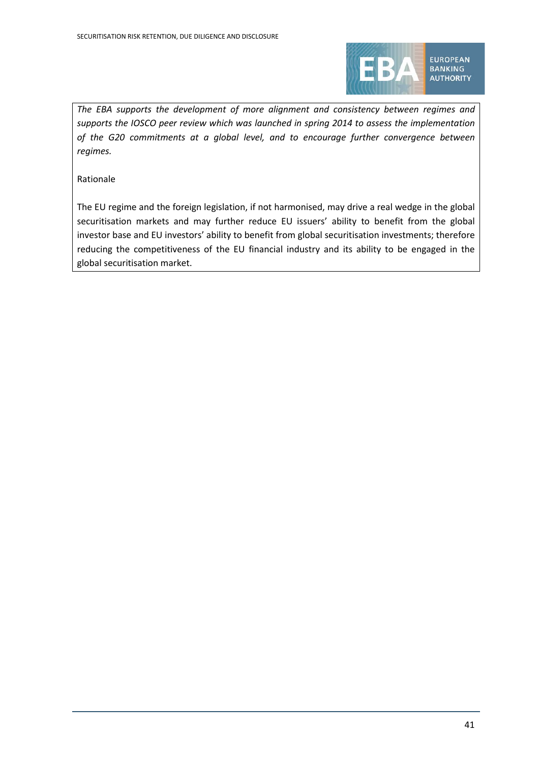

**EUROPEAN BANKING AUTHORITY** 

*The EBA supports the development of more alignment and consistency between regimes and supports the IOSCO peer review which was launched in spring 2014 to assess the implementation of the G20 commitments at a global level, and to encourage further convergence between regimes.*

Rationale

The EU regime and the foreign legislation, if not harmonised, may drive a real wedge in the global securitisation markets and may further reduce EU issuers' ability to benefit from the global investor base and EU investors' ability to benefit from global securitisation investments; therefore reducing the competitiveness of the EU financial industry and its ability to be engaged in the global securitisation market.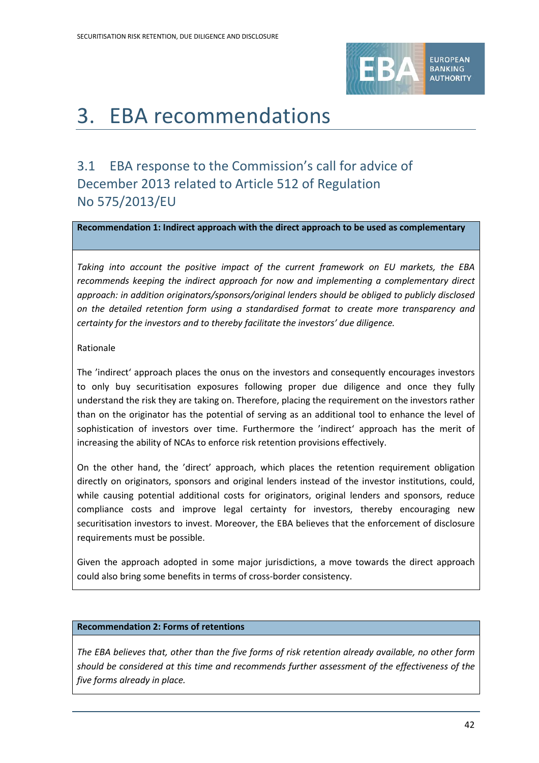

# 3. EBA recommendations

# 3.1 EBA response to the Commission's call for advice of December 2013 related to Article 512 of Regulation No 575/2013/EU

**Recommendation 1: Indirect approach with the direct approach to be used as complementary**

*Taking into account the positive impact of the current framework on EU markets, the EBA recommends keeping the indirect approach for now and implementing a complementary direct approach: in addition originators/sponsors/original lenders should be obliged to publicly disclosed on the detailed retention form using a standardised format to create more transparency and certainty for the investors and to thereby facilitate the investors' due diligence.*

#### Rationale

The 'indirect' approach places the onus on the investors and consequently encourages investors to only buy securitisation exposures following proper due diligence and once they fully understand the risk they are taking on. Therefore, placing the requirement on the investors rather than on the originator has the potential of serving as an additional tool to enhance the level of sophistication of investors over time. Furthermore the 'indirect' approach has the merit of increasing the ability of NCAs to enforce risk retention provisions effectively.

On the other hand, the 'direct' approach, which places the retention requirement obligation directly on originators, sponsors and original lenders instead of the investor institutions, could, while causing potential additional costs for originators, original lenders and sponsors, reduce compliance costs and improve legal certainty for investors, thereby encouraging new securitisation investors to invest. Moreover, the EBA believes that the enforcement of disclosure requirements must be possible.

Given the approach adopted in some major jurisdictions, a move towards the direct approach could also bring some benefits in terms of cross-border consistency.

#### **Recommendation 2: Forms of retentions**

*The EBA believes that, other than the five forms of risk retention already available, no other form should be considered at this time and recommends further assessment of the effectiveness of the five forms already in place.*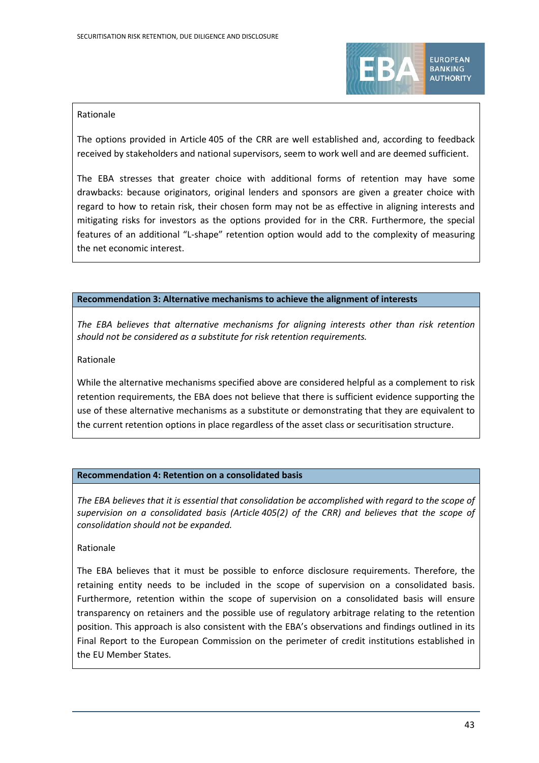

#### Rationale

The options provided in Article 405 of the CRR are well established and, according to feedback received by stakeholders and national supervisors, seem to work well and are deemed sufficient.

The EBA stresses that greater choice with additional forms of retention may have some drawbacks: because originators, original lenders and sponsors are given a greater choice with regard to how to retain risk, their chosen form may not be as effective in aligning interests and mitigating risks for investors as the options provided for in the CRR. Furthermore, the special features of an additional "L-shape" retention option would add to the complexity of measuring the net economic interest.

#### **Recommendation 3: Alternative mechanisms to achieve the alignment of interests**

*The EBA believes that alternative mechanisms for aligning interests other than risk retention should not be considered as a substitute for risk retention requirements.* 

Rationale

While the alternative mechanisms specified above are considered helpful as a complement to risk retention requirements, the EBA does not believe that there is sufficient evidence supporting the use of these alternative mechanisms as a substitute or demonstrating that they are equivalent to the current retention options in place regardless of the asset class or securitisation structure.

#### **Recommendation 4: Retention on a consolidated basis**

*The EBA believes that it is essential that consolidation be accomplished with regard to the scope of supervision on a consolidated basis (Article 405(2) of the CRR) and believes that the scope of consolidation should not be expanded.* 

#### Rationale

The EBA believes that it must be possible to enforce disclosure requirements. Therefore, the retaining entity needs to be included in the scope of supervision on a consolidated basis. Furthermore, retention within the scope of supervision on a consolidated basis will ensure transparency on retainers and the possible use of regulatory arbitrage relating to the retention position. This approach is also consistent with the EBA's observations and findings outlined in its Final Report to the European Commission on the perimeter of credit institutions established in the EU Member States.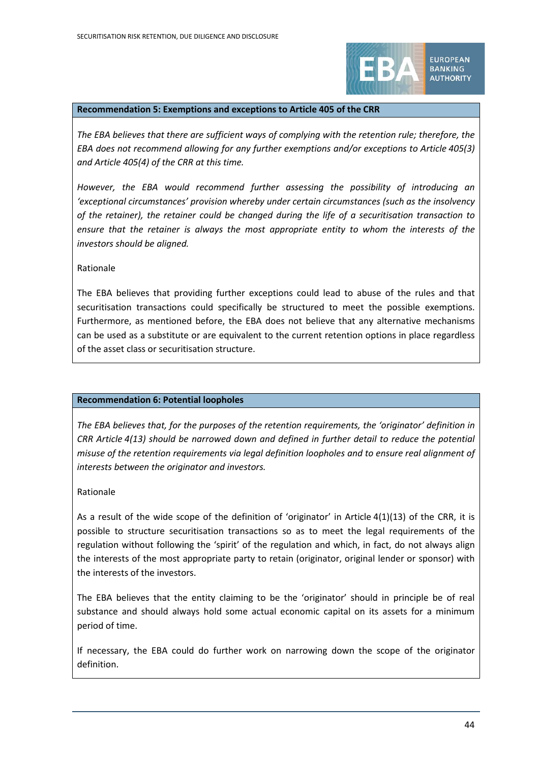

**EUROPEAN BANKING AUTHORITY** 

#### **Recommendation 5: Exemptions and exceptions to Article 405 of the CRR**

*The EBA believes that there are sufficient ways of complying with the retention rule; therefore, the EBA does not recommend allowing for any further exemptions and/or exceptions to Article 405(3) and Article 405(4) of the CRR at this time.* 

*However, the EBA would recommend further assessing the possibility of introducing an 'exceptional circumstances' provision whereby under certain circumstances (such as the insolvency of the retainer), the retainer could be changed during the life of a securitisation transaction to ensure that the retainer is always the most appropriate entity to whom the interests of the investors should be aligned.*

#### Rationale

The EBA believes that providing further exceptions could lead to abuse of the rules and that securitisation transactions could specifically be structured to meet the possible exemptions. Furthermore, as mentioned before, the EBA does not believe that any alternative mechanisms can be used as a substitute or are equivalent to the current retention options in place regardless of the asset class or securitisation structure.

#### **Recommendation 6: Potential loopholes**

*The EBA believes that, for the purposes of the retention requirements, the 'originator' definition in CRR Article 4(13) should be narrowed down and defined in further detail to reduce the potential misuse of the retention requirements via legal definition loopholes and to ensure real alignment of interests between the originator and investors.*

#### Rationale

As a result of the wide scope of the definition of 'originator' in Article 4(1)(13) of the CRR, it is possible to structure securitisation transactions so as to meet the legal requirements of the regulation without following the 'spirit' of the regulation and which, in fact, do not always align the interests of the most appropriate party to retain (originator, original lender or sponsor) with the interests of the investors.

The EBA believes that the entity claiming to be the 'originator' should in principle be of real substance and should always hold some actual economic capital on its assets for a minimum period of time.

If necessary, the EBA could do further work on narrowing down the scope of the originator definition.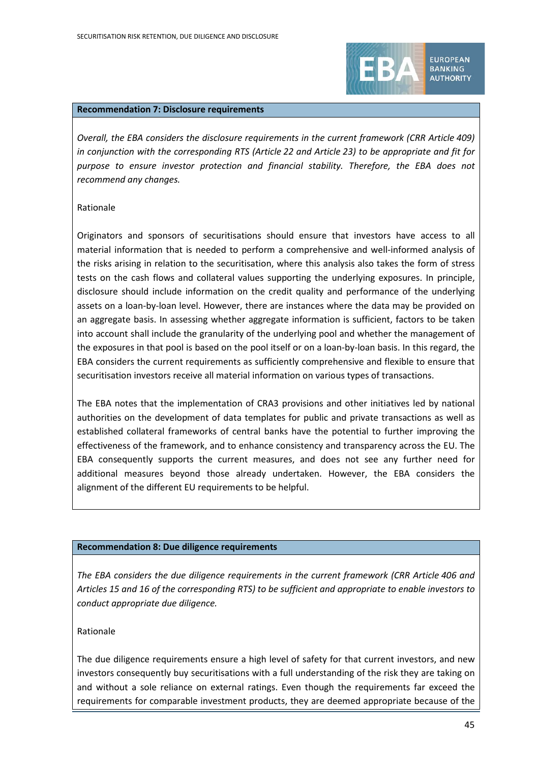

**BANKING AUTHORITY** 

#### **Recommendation 7: Disclosure requirements**

*Overall, the EBA considers the disclosure requirements in the current framework (CRR Article 409) in conjunction with the corresponding RTS (Article 22 and Article 23) to be appropriate and fit for purpose to ensure investor protection and financial stability. Therefore, the EBA does not recommend any changes.* 

#### Rationale

Originators and sponsors of securitisations should ensure that investors have access to all material information that is needed to perform a comprehensive and well-informed analysis of the risks arising in relation to the securitisation, where this analysis also takes the form of stress tests on the cash flows and collateral values supporting the underlying exposures. In principle, disclosure should include information on the credit quality and performance of the underlying assets on a loan-by-loan level. However, there are instances where the data may be provided on an aggregate basis. In assessing whether aggregate information is sufficient, factors to be taken into account shall include the granularity of the underlying pool and whether the management of the exposures in that pool is based on the pool itself or on a loan-by-loan basis. In this regard, the EBA considers the current requirements as sufficiently comprehensive and flexible to ensure that securitisation investors receive all material information on various types of transactions.

The EBA notes that the implementation of CRA3 provisions and other initiatives led by national authorities on the development of data templates for public and private transactions as well as established collateral frameworks of central banks have the potential to further improving the effectiveness of the framework, and to enhance consistency and transparency across the EU. The EBA consequently supports the current measures, and does not see any further need for additional measures beyond those already undertaken. However, the EBA considers the alignment of the different EU requirements to be helpful.

#### **Recommendation 8: Due diligence requirements**

*The EBA considers the due diligence requirements in the current framework (CRR Article 406 and Articles 15 and 16 of the corresponding RTS) to be sufficient and appropriate to enable investors to conduct appropriate due diligence.*

### Rationale

The due diligence requirements ensure a high level of safety for that current investors, and new investors consequently buy securitisations with a full understanding of the risk they are taking on and without a sole reliance on external ratings. Even though the requirements far exceed the requirements for comparable investment products, they are deemed appropriate because of the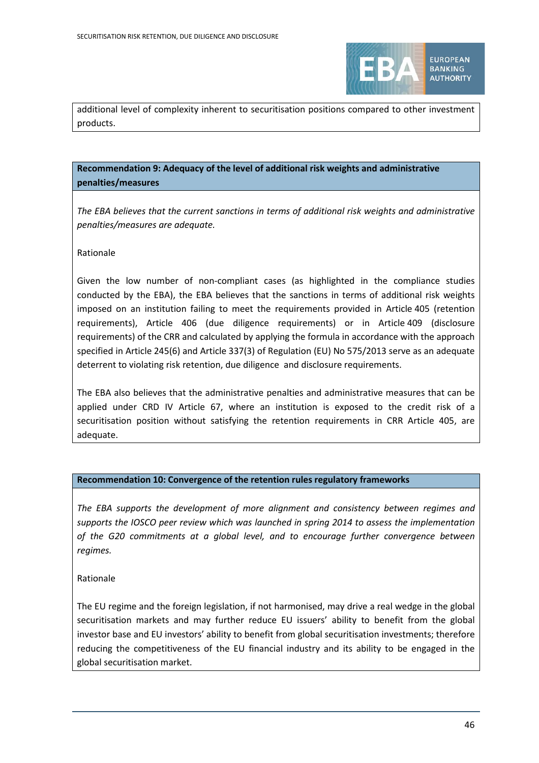

additional level of complexity inherent to securitisation positions compared to other investment products.

### **Recommendation 9: Adequacy of the level of additional risk weights and administrative penalties/measures**

*The EBA believes that the current sanctions in terms of additional risk weights and administrative penalties/measures are adequate.*

#### Rationale

Given the low number of non-compliant cases (as highlighted in the compliance studies conducted by the EBA), the EBA believes that the sanctions in terms of additional risk weights imposed on an institution failing to meet the requirements provided in Article 405 (retention requirements), Article 406 (due diligence requirements) or in Article 409 (disclosure requirements) of the CRR and calculated by applying the formula in accordance with the approach specified in Article 245(6) and Article 337(3) of Regulation (EU) No 575/2013 serve as an adequate deterrent to violating risk retention, due diligence and disclosure requirements.

The EBA also believes that the administrative penalties and administrative measures that can be applied under CRD IV Article 67, where an institution is exposed to the credit risk of a securitisation position without satisfying the retention requirements in CRR Article 405, are adequate.

#### **Recommendation 10: Convergence of the retention rules regulatory frameworks**

*The EBA supports the development of more alignment and consistency between regimes and supports the IOSCO peer review which was launched in spring 2014 to assess the implementation of the G20 commitments at a global level, and to encourage further convergence between regimes.*

Rationale

The EU regime and the foreign legislation, if not harmonised, may drive a real wedge in the global securitisation markets and may further reduce EU issuers' ability to benefit from the global investor base and EU investors' ability to benefit from global securitisation investments; therefore reducing the competitiveness of the EU financial industry and its ability to be engaged in the global securitisation market.